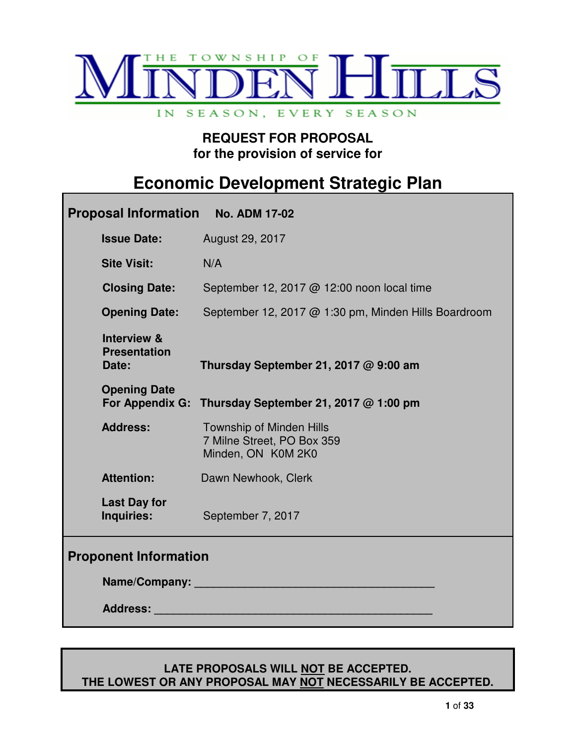

# **REQUEST FOR PROPOSAL for the provision of service for**

# **Economic Development Strategic Plan**

| Proposal Information No. ADM 17-02                     |                                                                                                                |
|--------------------------------------------------------|----------------------------------------------------------------------------------------------------------------|
| <b>Issue Date:</b>                                     | August 29, 2017                                                                                                |
| <b>Site Visit:</b>                                     | N/A                                                                                                            |
| <b>Closing Date:</b>                                   | September 12, 2017 @ 12:00 noon local time                                                                     |
| <b>Opening Date:</b>                                   | September 12, 2017 @ 1:30 pm, Minden Hills Boardroom                                                           |
| <b>Interview &amp;</b><br><b>Presentation</b><br>Date: | Thursday September 21, 2017 $@9:00$ am                                                                         |
| <b>Opening Date</b>                                    | For Appendix G: Thursday September 21, 2017 @ 1:00 pm                                                          |
| <b>Address:</b>                                        | <b>Township of Minden Hills</b><br>7 Milne Street, PO Box 359<br>Minden, ON K0M 2K0                            |
| <b>Attention:</b>                                      | Dawn Newhook, Clerk                                                                                            |
| <b>Last Day for</b><br>Inquiries:                      | September 7, 2017                                                                                              |
| <b>Proponent Information</b>                           |                                                                                                                |
|                                                        | Name/Company: Name and South Allen and South Allen and South Allen and South Allen and South Allen and South A |
|                                                        | Address: National Address:                                                                                     |

#### **LATE PROPOSALS WILL NOT BE ACCEPTED. THE LOWEST OR ANY PROPOSAL MAY NOT NECESSARILY BE ACCEPTED.**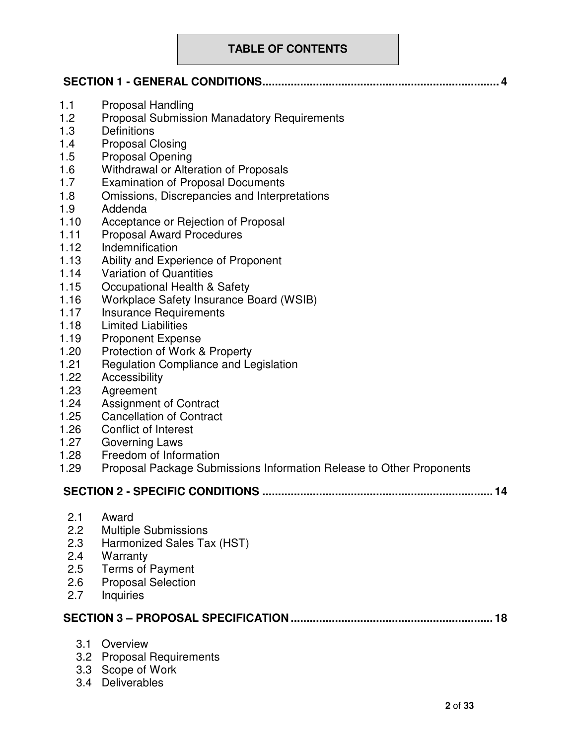# **TABLE OF CONTENTS**

| 1.1<br>1.2<br>1.3<br>1.4<br>1.5<br>1.6<br>1.7<br>1.8<br>1.9<br>1.10<br>1.11<br>1.12<br>1.13<br>1.14<br>1.15<br>1.16<br>1.17<br>1.18<br>1.19<br>1.20<br>1.21<br>1.22<br>1.23<br>1.24<br>1.25<br>1.26<br>1.27 | <b>Proposal Handling</b><br><b>Proposal Submission Manadatory Requirements</b><br><b>Definitions</b><br><b>Proposal Closing</b><br><b>Proposal Opening</b><br>Withdrawal or Alteration of Proposals<br><b>Examination of Proposal Documents</b><br>Omissions, Discrepancies and Interpretations<br>Addenda<br>Acceptance or Rejection of Proposal<br><b>Proposal Award Procedures</b><br>Indemnification<br>Ability and Experience of Proponent<br><b>Variation of Quantities</b><br>Occupational Health & Safety<br>Workplace Safety Insurance Board (WSIB)<br><b>Insurance Requirements</b><br><b>Limited Liabilities</b><br><b>Proponent Expense</b><br>Protection of Work & Property<br><b>Regulation Compliance and Legislation</b><br>Accessibility<br>Agreement<br><b>Assignment of Contract</b><br><b>Cancellation of Contract</b><br><b>Conflict of Interest</b><br><b>Governing Laws</b> |
|-------------------------------------------------------------------------------------------------------------------------------------------------------------------------------------------------------------|----------------------------------------------------------------------------------------------------------------------------------------------------------------------------------------------------------------------------------------------------------------------------------------------------------------------------------------------------------------------------------------------------------------------------------------------------------------------------------------------------------------------------------------------------------------------------------------------------------------------------------------------------------------------------------------------------------------------------------------------------------------------------------------------------------------------------------------------------------------------------------------------------|
| 1.28<br>1.29                                                                                                                                                                                                | Freedom of Information<br>Proposal Package Submissions Information Release to Other Proponents                                                                                                                                                                                                                                                                                                                                                                                                                                                                                                                                                                                                                                                                                                                                                                                                     |
|                                                                                                                                                                                                             | <b>SECTION 2 - SPECIFIC CONDITIONS</b><br>14                                                                                                                                                                                                                                                                                                                                                                                                                                                                                                                                                                                                                                                                                                                                                                                                                                                       |
| 2.1<br>2.2<br>2.3<br>2.4<br>2.5<br>2.6<br>2.7                                                                                                                                                               | Award<br><b>Multiple Submissions</b><br>Harmonized Sales Tax (HST)<br>Warranty<br><b>Terms of Payment</b><br><b>Proposal Selection</b><br>Inquiries                                                                                                                                                                                                                                                                                                                                                                                                                                                                                                                                                                                                                                                                                                                                                |
|                                                                                                                                                                                                             | 18                                                                                                                                                                                                                                                                                                                                                                                                                                                                                                                                                                                                                                                                                                                                                                                                                                                                                                 |
|                                                                                                                                                                                                             | 3.1 Overview<br>3.2 Proposal Requirements                                                                                                                                                                                                                                                                                                                                                                                                                                                                                                                                                                                                                                                                                                                                                                                                                                                          |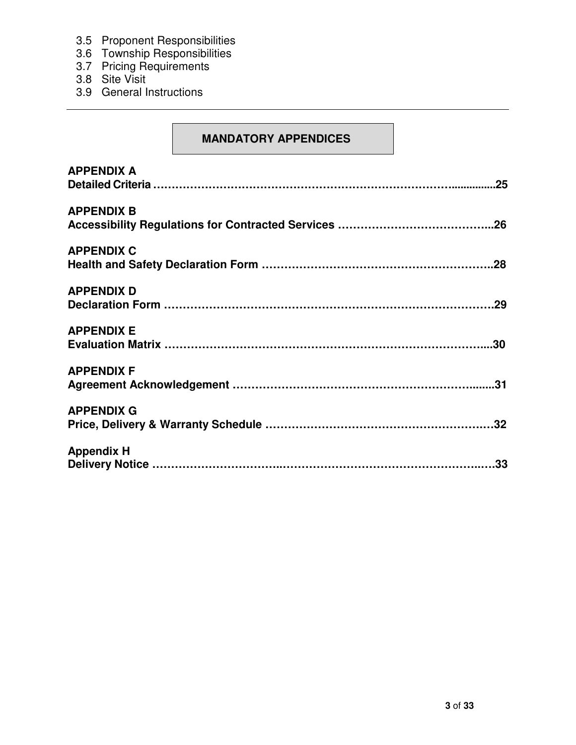- 3.5 Proponent Responsibilities
- 3.6 Township Responsibilities
- 3.7 Pricing Requirements
- 3.8 Site Visit
- 3.9 General Instructions

## **MANDATORY APPENDICES**

| <b>APPENDIX A</b> |
|-------------------|
| <b>APPENDIX B</b> |
| <b>APPENDIX C</b> |
| <b>APPENDIX D</b> |
| <b>APPENDIX E</b> |
| <b>APPENDIX F</b> |
| <b>APPENDIX G</b> |
| <b>Appendix H</b> |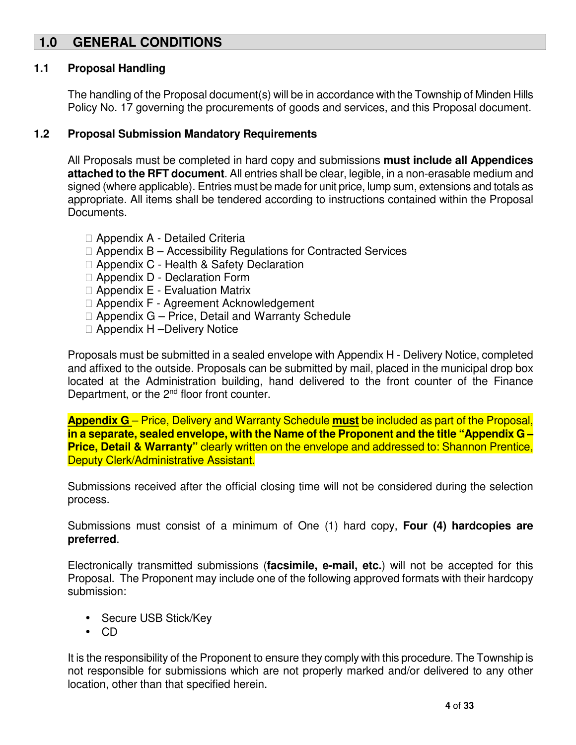# **1.0 GENERAL CONDITIONS**

#### **1.1 Proposal Handling**

The handling of the Proposal document(s) will be in accordance with the Township of Minden Hills Policy No. 17 governing the procurements of goods and services, and this Proposal document.

#### **1.2 Proposal Submission Mandatory Requirements**

All Proposals must be completed in hard copy and submissions **must include all Appendices attached to the RFT document**. All entries shall be clear, legible, in a non-erasable medium and signed (where applicable). Entries must be made for unit price, lump sum, extensions and totals as appropriate. All items shall be tendered according to instructions contained within the Proposal Documents.

 Appendix A - Detailed Criteria Appendix B – Accessibility Regulations for Contracted Services Appendix C - Health & Safety Declaration Appendix D - Declaration Form Appendix E - Evaluation Matrix Appendix F - Agreement Acknowledgement Appendix G – Price, Detail and Warranty Schedule Appendix H –Delivery Notice

Proposals must be submitted in a sealed envelope with Appendix H - Delivery Notice, completed and affixed to the outside. Proposals can be submitted by mail, placed in the municipal drop box located at the Administration building, hand delivered to the front counter of the Finance Department, or the 2<sup>nd</sup> floor front counter.

**Appendix G** – Price, Delivery and Warranty Schedule **must** be included as part of the Proposal, **in a separate, sealed envelope, with the Name of the Proponent and the title "Appendix G – Price, Detail & Warranty"** clearly written on the envelope and addressed to: Shannon Prentice, Deputy Clerk/Administrative Assistant.

Submissions received after the official closing time will not be considered during the selection process.

Submissions must consist of a minimum of One (1) hard copy, **Four (4) hardcopies are preferred**.

Electronically transmitted submissions (**facsimile, e-mail, etc.**) will not be accepted for this Proposal. The Proponent may include one of the following approved formats with their hardcopy submission:

- Secure USB Stick/Key
- CD

It is the responsibility of the Proponent to ensure they comply with this procedure. The Township is not responsible for submissions which are not properly marked and/or delivered to any other location, other than that specified herein.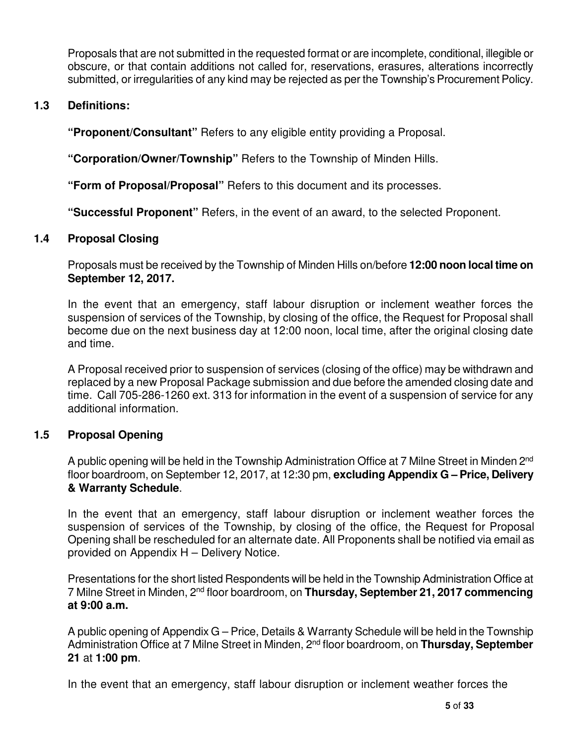Proposals that are not submitted in the requested format or are incomplete, conditional, illegible or obscure, or that contain additions not called for, reservations, erasures, alterations incorrectly submitted, or irregularities of any kind may be rejected as per the Township's Procurement Policy.

## **1.3 Definitions:**

**"Proponent/Consultant"** Refers to any eligible entity providing a Proposal.

**"Corporation/Owner/Township"** Refers to the Township of Minden Hills.

**"Form of Proposal/Proposal"** Refers to this document and its processes.

**"Successful Proponent"** Refers, in the event of an award, to the selected Proponent.

## **1.4 Proposal Closing**

Proposals must be received by the Township of Minden Hills on/before **12:00 noon local time on September 12, 2017.** 

In the event that an emergency, staff labour disruption or inclement weather forces the suspension of services of the Township, by closing of the office, the Request for Proposal shall become due on the next business day at 12:00 noon, local time, after the original closing date and time.

A Proposal received prior to suspension of services (closing of the office) may be withdrawn and replaced by a new Proposal Package submission and due before the amended closing date and time. Call 705-286-1260 ext. 313 for information in the event of a suspension of service for any additional information.

#### **1.5 Proposal Opening**

A public opening will be held in the Township Administration Office at 7 Milne Street in Minden 2<sup>nd</sup> floor boardroom, on September 12, 2017, at 12:30 pm, **excluding Appendix G – Price, Delivery & Warranty Schedule**.

In the event that an emergency, staff labour disruption or inclement weather forces the suspension of services of the Township, by closing of the office, the Request for Proposal Opening shall be rescheduled for an alternate date. All Proponents shall be notified via email as provided on Appendix H – Delivery Notice.

Presentations for the short listed Respondents will be held in the Township Administration Office at 7 Milne Street in Minden, 2nd floor boardroom, on **Thursday, September 21, 2017 commencing at 9:00 a.m.** 

A public opening of Appendix G – Price, Details & Warranty Schedule will be held in the Township Administration Office at 7 Milne Street in Minden, 2<sup>nd</sup> floor boardroom, on Thursday, September **21** at **1:00 pm**.

In the event that an emergency, staff labour disruption or inclement weather forces the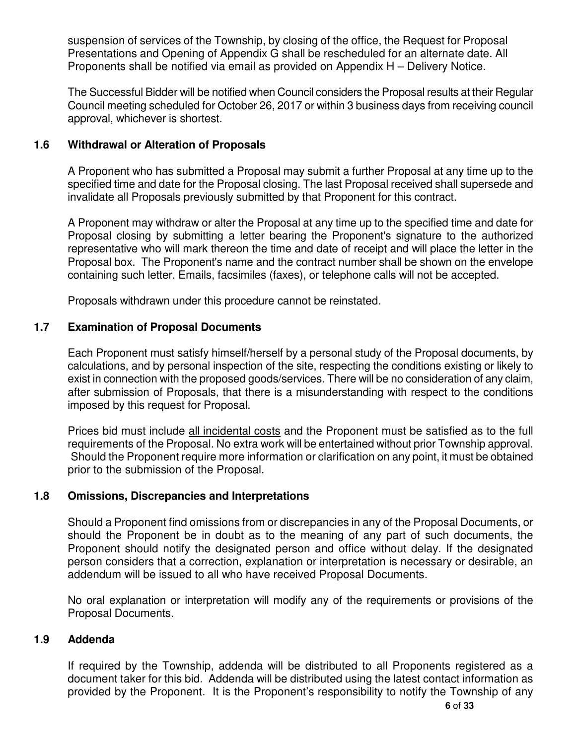suspension of services of the Township, by closing of the office, the Request for Proposal Presentations and Opening of Appendix G shall be rescheduled for an alternate date. All Proponents shall be notified via email as provided on Appendix H – Delivery Notice.

The Successful Bidder will be notified when Council considers the Proposal results at their Regular Council meeting scheduled for October 26, 2017 or within 3 business days from receiving council approval, whichever is shortest.

## **1.6 Withdrawal or Alteration of Proposals**

A Proponent who has submitted a Proposal may submit a further Proposal at any time up to the specified time and date for the Proposal closing. The last Proposal received shall supersede and invalidate all Proposals previously submitted by that Proponent for this contract.

A Proponent may withdraw or alter the Proposal at any time up to the specified time and date for Proposal closing by submitting a letter bearing the Proponent's signature to the authorized representative who will mark thereon the time and date of receipt and will place the letter in the Proposal box. The Proponent's name and the contract number shall be shown on the envelope containing such letter. Emails, facsimiles (faxes), or telephone calls will not be accepted.

Proposals withdrawn under this procedure cannot be reinstated.

## **1.7 Examination of Proposal Documents**

Each Proponent must satisfy himself/herself by a personal study of the Proposal documents, by calculations, and by personal inspection of the site, respecting the conditions existing or likely to exist in connection with the proposed goods/services. There will be no consideration of any claim, after submission of Proposals, that there is a misunderstanding with respect to the conditions imposed by this request for Proposal.

Prices bid must include all incidental costs and the Proponent must be satisfied as to the full requirements of the Proposal. No extra work will be entertained without prior Township approval. Should the Proponent require more information or clarification on any point, it must be obtained prior to the submission of the Proposal.

## **1.8 Omissions, Discrepancies and Interpretations**

Should a Proponent find omissions from or discrepancies in any of the Proposal Documents, or should the Proponent be in doubt as to the meaning of any part of such documents, the Proponent should notify the designated person and office without delay. If the designated person considers that a correction, explanation or interpretation is necessary or desirable, an addendum will be issued to all who have received Proposal Documents.

No oral explanation or interpretation will modify any of the requirements or provisions of the Proposal Documents.

#### **1.9 Addenda**

If required by the Township, addenda will be distributed to all Proponents registered as a document taker for this bid. Addenda will be distributed using the latest contact information as provided by the Proponent. It is the Proponent's responsibility to notify the Township of any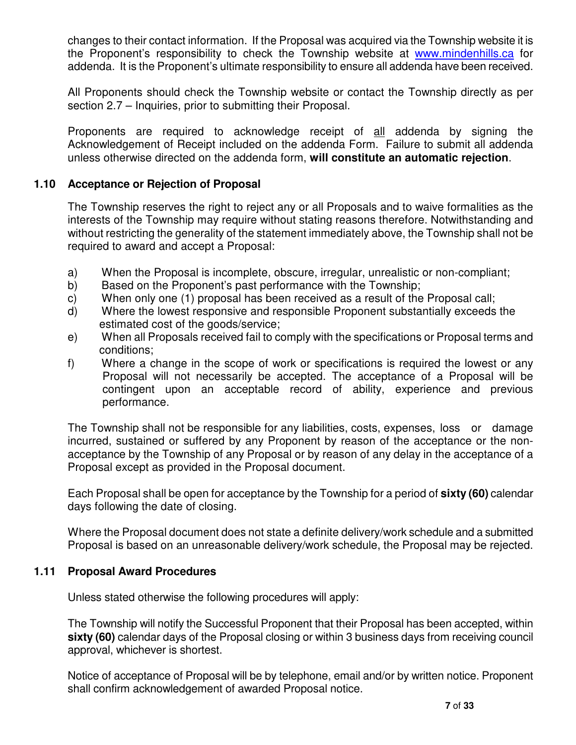changes to their contact information. If the Proposal was acquired via the Township website it is the Proponent's responsibility to check the Township website at www.mindenhills.ca for addenda. It is the Proponent's ultimate responsibility to ensure all addenda have been received.

All Proponents should check the Township website or contact the Township directly as per section 2.7 – Inquiries, prior to submitting their Proposal.

Proponents are required to acknowledge receipt of all addenda by signing the Acknowledgement of Receipt included on the addenda Form. Failure to submit all addenda unless otherwise directed on the addenda form, **will constitute an automatic rejection**.

## **1.10 Acceptance or Rejection of Proposal**

The Township reserves the right to reject any or all Proposals and to waive formalities as the interests of the Township may require without stating reasons therefore. Notwithstanding and without restricting the generality of the statement immediately above, the Township shall not be required to award and accept a Proposal:

- a) When the Proposal is incomplete, obscure, irregular, unrealistic or non-compliant;
- b) Based on the Proponent's past performance with the Township;
- c) When only one (1) proposal has been received as a result of the Proposal call;
- d) Where the lowest responsive and responsible Proponent substantially exceeds the estimated cost of the goods/service;
- e) When all Proposals received fail to comply with the specifications or Proposal terms and conditions;
- f) Where a change in the scope of work or specifications is required the lowest or any Proposal will not necessarily be accepted. The acceptance of a Proposal will be contingent upon an acceptable record of ability, experience and previous performance.

The Township shall not be responsible for any liabilities, costs, expenses, loss or damage incurred, sustained or suffered by any Proponent by reason of the acceptance or the nonacceptance by the Township of any Proposal or by reason of any delay in the acceptance of a Proposal except as provided in the Proposal document.

Each Proposal shall be open for acceptance by the Township for a period of **sixty (60)** calendar days following the date of closing.

Where the Proposal document does not state a definite delivery/work schedule and a submitted Proposal is based on an unreasonable delivery/work schedule, the Proposal may be rejected.

#### **1.11 Proposal Award Procedures**

Unless stated otherwise the following procedures will apply:

The Township will notify the Successful Proponent that their Proposal has been accepted, within **sixty (60)** calendar days of the Proposal closing or within 3 business days from receiving council approval, whichever is shortest.

Notice of acceptance of Proposal will be by telephone, email and/or by written notice. Proponent shall confirm acknowledgement of awarded Proposal notice.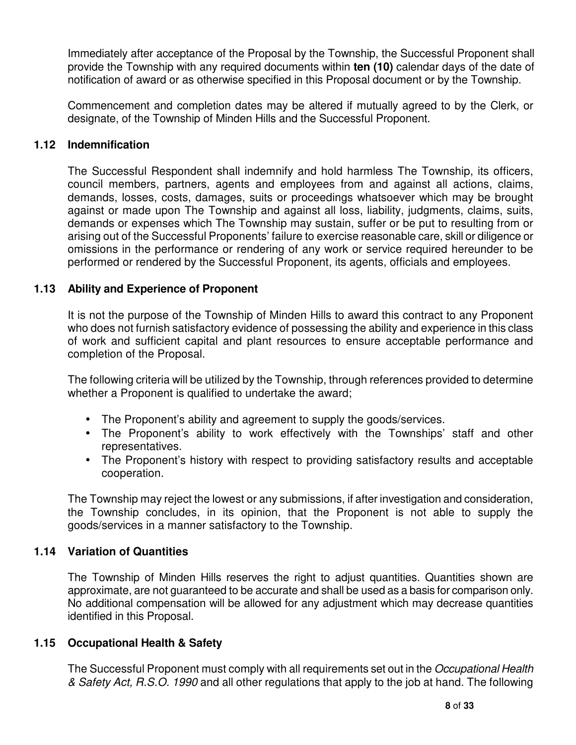Immediately after acceptance of the Proposal by the Township, the Successful Proponent shall provide the Township with any required documents within **ten (10)** calendar days of the date of notification of award or as otherwise specified in this Proposal document or by the Township.

Commencement and completion dates may be altered if mutually agreed to by the Clerk, or designate, of the Township of Minden Hills and the Successful Proponent.

## **1.12 Indemnification**

The Successful Respondent shall indemnify and hold harmless The Township, its officers, council members, partners, agents and employees from and against all actions, claims, demands, losses, costs, damages, suits or proceedings whatsoever which may be brought against or made upon The Township and against all loss, liability, judgments, claims, suits, demands or expenses which The Township may sustain, suffer or be put to resulting from or arising out of the Successful Proponents' failure to exercise reasonable care, skill or diligence or omissions in the performance or rendering of any work or service required hereunder to be performed or rendered by the Successful Proponent, its agents, officials and employees.

## **1.13 Ability and Experience of Proponent**

It is not the purpose of the Township of Minden Hills to award this contract to any Proponent who does not furnish satisfactory evidence of possessing the ability and experience in this class of work and sufficient capital and plant resources to ensure acceptable performance and completion of the Proposal.

The following criteria will be utilized by the Township, through references provided to determine whether a Proponent is qualified to undertake the award;

- The Proponent's ability and agreement to supply the goods/services.
- The Proponent's ability to work effectively with the Townships' staff and other representatives.
- The Proponent's history with respect to providing satisfactory results and acceptable cooperation.

The Township may reject the lowest or any submissions, if after investigation and consideration, the Township concludes, in its opinion, that the Proponent is not able to supply the goods/services in a manner satisfactory to the Township.

#### **1.14 Variation of Quantities**

The Township of Minden Hills reserves the right to adjust quantities. Quantities shown are approximate, are not guaranteed to be accurate and shall be used as a basis for comparison only. No additional compensation will be allowed for any adjustment which may decrease quantities identified in this Proposal.

#### **1.15 Occupational Health & Safety**

The Successful Proponent must comply with all requirements set out in the Occupational Health & Safety Act, R.S.O. 1990 and all other regulations that apply to the job at hand. The following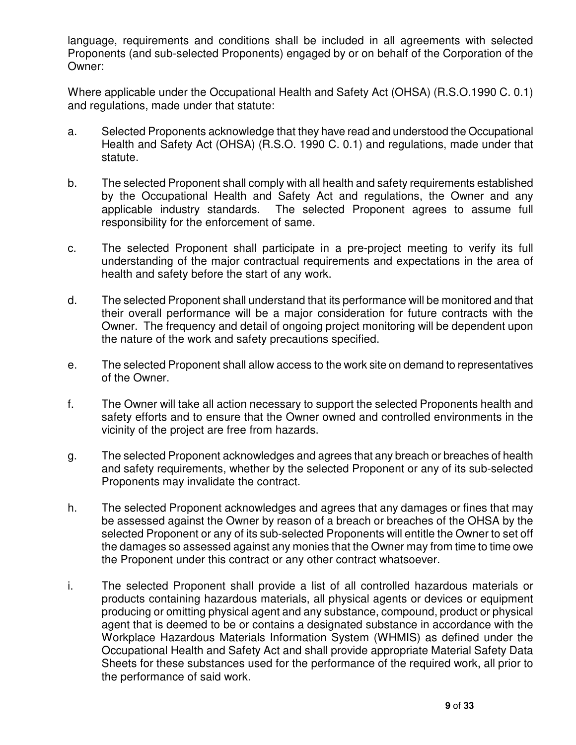language, requirements and conditions shall be included in all agreements with selected Proponents (and sub-selected Proponents) engaged by or on behalf of the Corporation of the Owner:

Where applicable under the Occupational Health and Safety Act (OHSA) (R.S.O.1990 C. 0.1) and regulations, made under that statute:

- a. Selected Proponents acknowledge that they have read and understood the Occupational Health and Safety Act (OHSA) (R.S.O. 1990 C. 0.1) and regulations, made under that statute.
- b. The selected Proponent shall comply with all health and safety requirements established by the Occupational Health and Safety Act and regulations, the Owner and any applicable industry standards. The selected Proponent agrees to assume full responsibility for the enforcement of same.
- c. The selected Proponent shall participate in a pre-project meeting to verify its full understanding of the major contractual requirements and expectations in the area of health and safety before the start of any work.
- d. The selected Proponent shall understand that its performance will be monitored and that their overall performance will be a major consideration for future contracts with the Owner. The frequency and detail of ongoing project monitoring will be dependent upon the nature of the work and safety precautions specified.
- e. The selected Proponent shall allow access to the work site on demand to representatives of the Owner.
- f. The Owner will take all action necessary to support the selected Proponents health and safety efforts and to ensure that the Owner owned and controlled environments in the vicinity of the project are free from hazards.
- g. The selected Proponent acknowledges and agrees that any breach or breaches of health and safety requirements, whether by the selected Proponent or any of its sub-selected Proponents may invalidate the contract.
- h. The selected Proponent acknowledges and agrees that any damages or fines that may be assessed against the Owner by reason of a breach or breaches of the OHSA by the selected Proponent or any of its sub-selected Proponents will entitle the Owner to set off the damages so assessed against any monies that the Owner may from time to time owe the Proponent under this contract or any other contract whatsoever.
- i. The selected Proponent shall provide a list of all controlled hazardous materials or products containing hazardous materials, all physical agents or devices or equipment producing or omitting physical agent and any substance, compound, product or physical agent that is deemed to be or contains a designated substance in accordance with the Workplace Hazardous Materials Information System (WHMIS) as defined under the Occupational Health and Safety Act and shall provide appropriate Material Safety Data Sheets for these substances used for the performance of the required work, all prior to the performance of said work.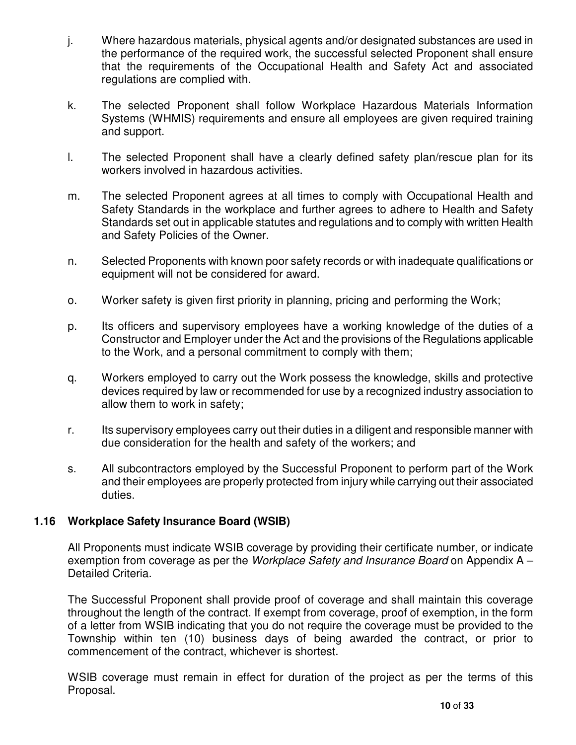- j. Where hazardous materials, physical agents and/or designated substances are used in the performance of the required work, the successful selected Proponent shall ensure that the requirements of the Occupational Health and Safety Act and associated regulations are complied with.
- k. The selected Proponent shall follow Workplace Hazardous Materials Information Systems (WHMIS) requirements and ensure all employees are given required training and support.
- l. The selected Proponent shall have a clearly defined safety plan/rescue plan for its workers involved in hazardous activities.
- m. The selected Proponent agrees at all times to comply with Occupational Health and Safety Standards in the workplace and further agrees to adhere to Health and Safety Standards set out in applicable statutes and regulations and to comply with written Health and Safety Policies of the Owner.
- n. Selected Proponents with known poor safety records or with inadequate qualifications or equipment will not be considered for award.
- o. Worker safety is given first priority in planning, pricing and performing the Work;
- p. Its officers and supervisory employees have a working knowledge of the duties of a Constructor and Employer under the Act and the provisions of the Regulations applicable to the Work, and a personal commitment to comply with them;
- q. Workers employed to carry out the Work possess the knowledge, skills and protective devices required by law or recommended for use by a recognized industry association to allow them to work in safety;
- r. Its supervisory employees carry out their duties in a diligent and responsible manner with due consideration for the health and safety of the workers; and
- s. All subcontractors employed by the Successful Proponent to perform part of the Work and their employees are properly protected from injury while carrying out their associated duties.

#### **1.16 Workplace Safety Insurance Board (WSIB)**

All Proponents must indicate WSIB coverage by providing their certificate number, or indicate exemption from coverage as per the *Workplace Safety and Insurance Board* on Appendix A – Detailed Criteria.

The Successful Proponent shall provide proof of coverage and shall maintain this coverage throughout the length of the contract. If exempt from coverage, proof of exemption, in the form of a letter from WSIB indicating that you do not require the coverage must be provided to the Township within ten (10) business days of being awarded the contract, or prior to commencement of the contract, whichever is shortest.

WSIB coverage must remain in effect for duration of the project as per the terms of this Proposal.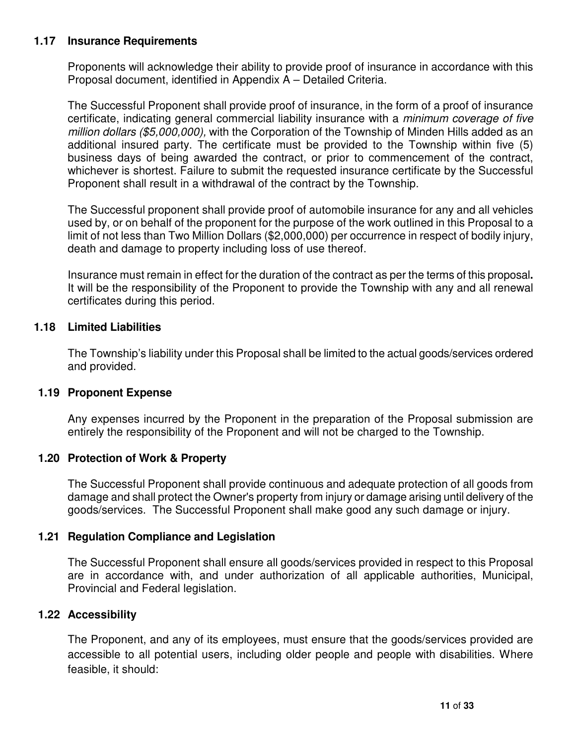## **1.17 Insurance Requirements**

Proponents will acknowledge their ability to provide proof of insurance in accordance with this Proposal document, identified in Appendix A – Detailed Criteria.

The Successful Proponent shall provide proof of insurance, in the form of a proof of insurance certificate, indicating general commercial liability insurance with a minimum coverage of five million dollars (\$5,000,000), with the Corporation of the Township of Minden Hills added as an additional insured party. The certificate must be provided to the Township within five (5) business days of being awarded the contract, or prior to commencement of the contract, whichever is shortest. Failure to submit the requested insurance certificate by the Successful Proponent shall result in a withdrawal of the contract by the Township.

The Successful proponent shall provide proof of automobile insurance for any and all vehicles used by, or on behalf of the proponent for the purpose of the work outlined in this Proposal to a limit of not less than Two Million Dollars (\$2,000,000) per occurrence in respect of bodily injury, death and damage to property including loss of use thereof.

Insurance must remain in effect for the duration of the contract as per the terms of this proposal**.**  It will be the responsibility of the Proponent to provide the Township with any and all renewal certificates during this period.

## **1.18 Limited Liabilities**

The Township's liability under this Proposal shall be limited to the actual goods/services ordered and provided.

#### **1.19 Proponent Expense**

Any expenses incurred by the Proponent in the preparation of the Proposal submission are entirely the responsibility of the Proponent and will not be charged to the Township.

#### **1.20 Protection of Work & Property**

The Successful Proponent shall provide continuous and adequate protection of all goods from damage and shall protect the Owner's property from injury or damage arising until delivery of the goods/services. The Successful Proponent shall make good any such damage or injury.

#### **1.21 Regulation Compliance and Legislation**

The Successful Proponent shall ensure all goods/services provided in respect to this Proposal are in accordance with, and under authorization of all applicable authorities, Municipal, Provincial and Federal legislation.

#### **1.22 Accessibility**

The Proponent, and any of its employees, must ensure that the goods/services provided are accessible to all potential users, including older people and people with disabilities. Where feasible, it should: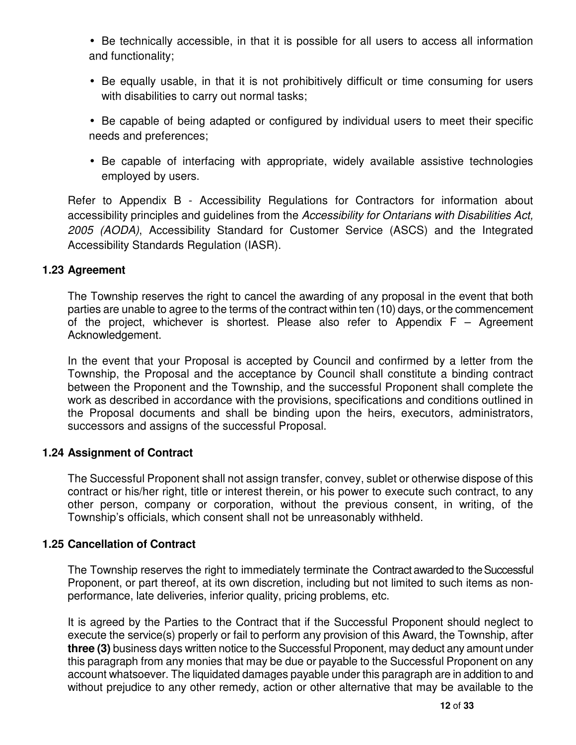• Be technically accessible, in that it is possible for all users to access all information and functionality;

• Be equally usable, in that it is not prohibitively difficult or time consuming for users with disabilities to carry out normal tasks;

• Be capable of being adapted or configured by individual users to meet their specific needs and preferences;

• Be capable of interfacing with appropriate, widely available assistive technologies employed by users.

Refer to Appendix B - Accessibility Regulations for Contractors for information about accessibility principles and guidelines from the Accessibility for Ontarians with Disabilities Act, 2005 (AODA), Accessibility Standard for Customer Service (ASCS) and the Integrated Accessibility Standards Regulation (IASR).

#### **1.23 Agreement**

The Township reserves the right to cancel the awarding of any proposal in the event that both parties are unable to agree to the terms of the contract within ten (10) days, or the commencement of the project, whichever is shortest. Please also refer to Appendix  $F -$  Agreement Acknowledgement.

In the event that your Proposal is accepted by Council and confirmed by a letter from the Township, the Proposal and the acceptance by Council shall constitute a binding contract between the Proponent and the Township, and the successful Proponent shall complete the work as described in accordance with the provisions, specifications and conditions outlined in the Proposal documents and shall be binding upon the heirs, executors, administrators, successors and assigns of the successful Proposal.

#### **1.24 Assignment of Contract**

The Successful Proponent shall not assign transfer, convey, sublet or otherwise dispose of this contract or his/her right, title or interest therein, or his power to execute such contract, to any other person, company or corporation, without the previous consent, in writing, of the Township's officials, which consent shall not be unreasonably withheld.

#### **1.25 Cancellation of Contract**

The Township reserves the right to immediately terminate the Contract awarded to the Successful Proponent, or part thereof, at its own discretion, including but not limited to such items as nonperformance, late deliveries, inferior quality, pricing problems, etc.

 It is agreed by the Parties to the Contract that if the Successful Proponent should neglect to execute the service(s) properly or fail to perform any provision of this Award, the Township, after **three (3)** business days written notice to the Successful Proponent, may deduct any amount under this paragraph from any monies that may be due or payable to the Successful Proponent on any account whatsoever. The liquidated damages payable under this paragraph are in addition to and without prejudice to any other remedy, action or other alternative that may be available to the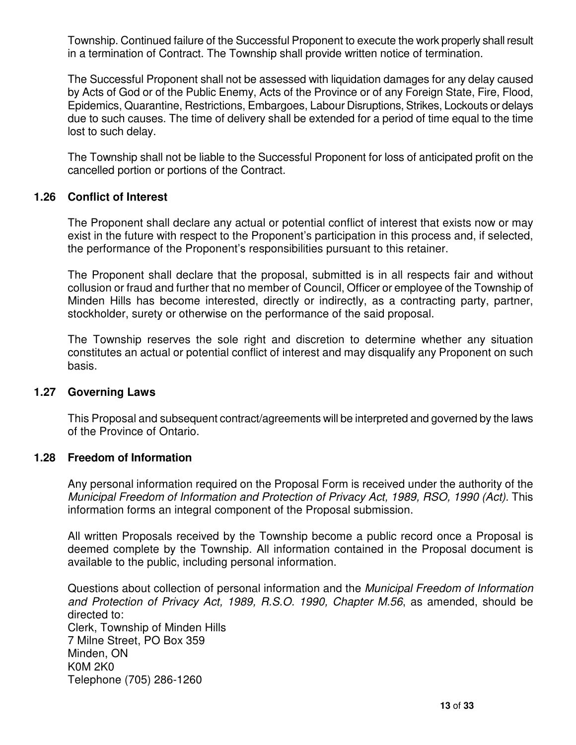Township. Continued failure of the Successful Proponent to execute the work properly shall result in a termination of Contract. The Township shall provide written notice of termination.

The Successful Proponent shall not be assessed with liquidation damages for any delay caused by Acts of God or of the Public Enemy, Acts of the Province or of any Foreign State, Fire, Flood, Epidemics, Quarantine, Restrictions, Embargoes, Labour Disruptions, Strikes, Lockouts or delays due to such causes. The time of delivery shall be extended for a period of time equal to the time lost to such delay.

The Township shall not be liable to the Successful Proponent for loss of anticipated profit on the cancelled portion or portions of the Contract.

#### **1.26 Conflict of Interest**

The Proponent shall declare any actual or potential conflict of interest that exists now or may exist in the future with respect to the Proponent's participation in this process and, if selected, the performance of the Proponent's responsibilities pursuant to this retainer.

The Proponent shall declare that the proposal, submitted is in all respects fair and without collusion or fraud and further that no member of Council, Officer or employee of the Township of Minden Hills has become interested, directly or indirectly, as a contracting party, partner, stockholder, surety or otherwise on the performance of the said proposal.

The Township reserves the sole right and discretion to determine whether any situation constitutes an actual or potential conflict of interest and may disqualify any Proponent on such basis.

#### **1.27 Governing Laws**

This Proposal and subsequent contract/agreements will be interpreted and governed by the laws of the Province of Ontario.

#### **1.28 Freedom of Information**

Any personal information required on the Proposal Form is received under the authority of the Municipal Freedom of Information and Protection of Privacy Act, 1989, RSO, 1990 (Act). This information forms an integral component of the Proposal submission.

All written Proposals received by the Township become a public record once a Proposal is deemed complete by the Township. All information contained in the Proposal document is available to the public, including personal information.

Questions about collection of personal information and the Municipal Freedom of Information and Protection of Privacy Act, 1989, R.S.O. 1990, Chapter M.56, as amended, should be directed to: Clerk, Township of Minden Hills 7 Milne Street, PO Box 359 Minden, ON K0M 2K0 Telephone (705) 286-1260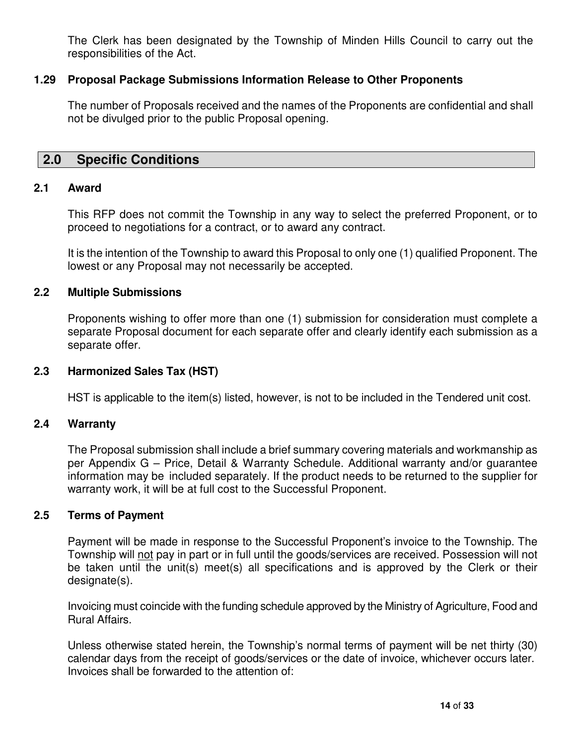The Clerk has been designated by the Township of Minden Hills Council to carry out the responsibilities of the Act.

## **1.29 Proposal Package Submissions Information Release to Other Proponents**

The number of Proposals received and the names of the Proponents are confidential and shall not be divulged prior to the public Proposal opening.

## **2.0 Specific Conditions**

#### **2.1 Award**

This RFP does not commit the Township in any way to select the preferred Proponent, or to proceed to negotiations for a contract, or to award any contract.

It is the intention of the Township to award this Proposal to only one (1) qualified Proponent. The lowest or any Proposal may not necessarily be accepted.

#### **2.2 Multiple Submissions**

Proponents wishing to offer more than one (1) submission for consideration must complete a separate Proposal document for each separate offer and clearly identify each submission as a separate offer.

#### **2.3 Harmonized Sales Tax (HST)**

HST is applicable to the item(s) listed, however, is not to be included in the Tendered unit cost.

#### **2.4 Warranty**

The Proposal submission shall include a brief summary covering materials and workmanship as per Appendix G – Price, Detail & Warranty Schedule. Additional warranty and/or guarantee information may be included separately. If the product needs to be returned to the supplier for warranty work, it will be at full cost to the Successful Proponent.

#### **2.5 Terms of Payment**

 Payment will be made in response to the Successful Proponent's invoice to the Township. The Township will not pay in part or in full until the goods/services are received. Possession will not be taken until the unit(s) meet(s) all specifications and is approved by the Clerk or their designate(s).

Invoicing must coincide with the funding schedule approved by the Ministry of Agriculture, Food and Rural Affairs.

Unless otherwise stated herein, the Township's normal terms of payment will be net thirty (30) calendar days from the receipt of goods/services or the date of invoice, whichever occurs later. Invoices shall be forwarded to the attention of: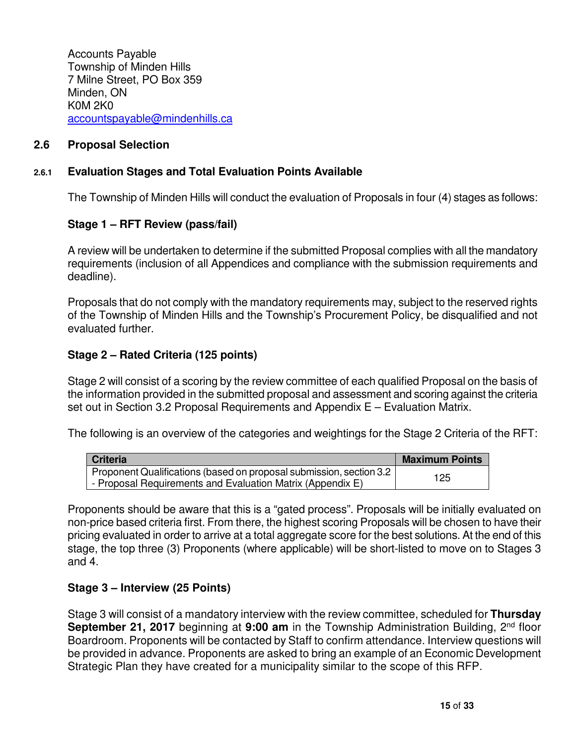Accounts Payable Township of Minden Hills 7 Milne Street, PO Box 359 Minden, ON K0M 2K0 accountspayable@mindenhills.ca

#### **2.6 Proposal Selection**

#### **2.6.1 Evaluation Stages and Total Evaluation Points Available**

The Township of Minden Hills will conduct the evaluation of Proposals in four (4) stages as follows:

#### **Stage 1 – RFT Review (pass/fail)**

A review will be undertaken to determine if the submitted Proposal complies with all the mandatory requirements (inclusion of all Appendices and compliance with the submission requirements and deadline).

Proposals that do not comply with the mandatory requirements may, subject to the reserved rights of the Township of Minden Hills and the Township's Procurement Policy, be disqualified and not evaluated further.

#### **Stage 2 – Rated Criteria (125 points)**

Stage 2 will consist of a scoring by the review committee of each qualified Proposal on the basis of the information provided in the submitted proposal and assessment and scoring against the criteria set out in Section 3.2 Proposal Requirements and Appendix E – Evaluation Matrix.

The following is an overview of the categories and weightings for the Stage 2 Criteria of the RFT:

| <b>Criteria</b>                                                     | <b>Maximum Points</b> |
|---------------------------------------------------------------------|-----------------------|
| Proponent Qualifications (based on proposal submission, section 3.2 | 125                   |
| - Proposal Requirements and Evaluation Matrix (Appendix E)          |                       |

Proponents should be aware that this is a "gated process". Proposals will be initially evaluated on non-price based criteria first. From there, the highest scoring Proposals will be chosen to have their pricing evaluated in order to arrive at a total aggregate score for the best solutions. At the end of this stage, the top three (3) Proponents (where applicable) will be short-listed to move on to Stages 3 and 4.

#### **Stage 3 – Interview (25 Points)**

Stage 3 will consist of a mandatory interview with the review committee, scheduled for **Thursday September 21, 2017** beginning at 9:00 am in the Township Administration Building, 2<sup>nd</sup> floor Boardroom. Proponents will be contacted by Staff to confirm attendance. Interview questions will be provided in advance. Proponents are asked to bring an example of an Economic Development Strategic Plan they have created for a municipality similar to the scope of this RFP.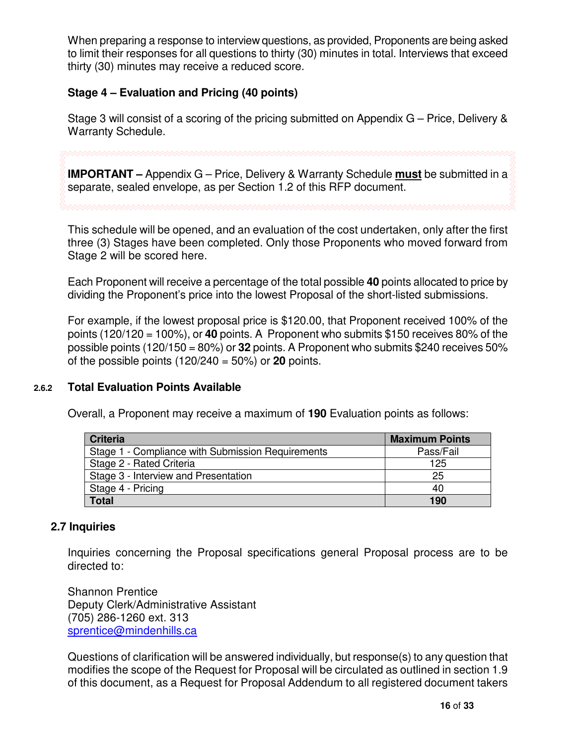When preparing a response to interview questions, as provided, Proponents are being asked to limit their responses for all questions to thirty (30) minutes in total. Interviews that exceed thirty (30) minutes may receive a reduced score.

## **Stage 4 – Evaluation and Pricing (40 points)**

Stage 3 will consist of a scoring of the pricing submitted on Appendix G – Price, Delivery & Warranty Schedule.

**IMPORTANT –** Appendix G – Price, Delivery & Warranty Schedule **must** be submitted in a

separate, sealed envelope, as per Section 1.2 of this RFP document.

This schedule will be opened, and an evaluation of the cost undertaken, only after the first three (3) Stages have been completed. Only those Proponents who moved forward from Stage 2 will be scored here.

Each Proponent will receive a percentage of the total possible **40** points allocated to price by dividing the Proponent's price into the lowest Proposal of the short-listed submissions.

For example, if the lowest proposal price is \$120.00, that Proponent received 100% of the points (120/120 = 100%), or **40** points. A Proponent who submits \$150 receives 80% of the possible points (120/150 = 80%) or **32** points. A Proponent who submits \$240 receives 50% of the possible points (120/240 = 50%) or **20** points.

#### **2.6.2 Total Evaluation Points Available**

Overall, a Proponent may receive a maximum of **190** Evaluation points as follows:

| <b>Criteria</b>                                   | <b>Maximum Points</b> |
|---------------------------------------------------|-----------------------|
| Stage 1 - Compliance with Submission Requirements | Pass/Fail             |
| Stage 2 - Rated Criteria                          | 125                   |
| Stage 3 - Interview and Presentation              | 25                    |
| Stage 4 - Pricing                                 | 40                    |
| <b>Total</b>                                      | 190                   |

#### **2.7 Inquiries**

Inquiries concerning the Proposal specifications general Proposal process are to be directed to:

Shannon Prentice Deputy Clerk/Administrative Assistant (705) 286-1260 ext. 313 sprentice@mindenhills.ca

Questions of clarification will be answered individually, but response(s) to any question that modifies the scope of the Request for Proposal will be circulated as outlined in section 1.9 of this document, as a Request for Proposal Addendum to all registered document takers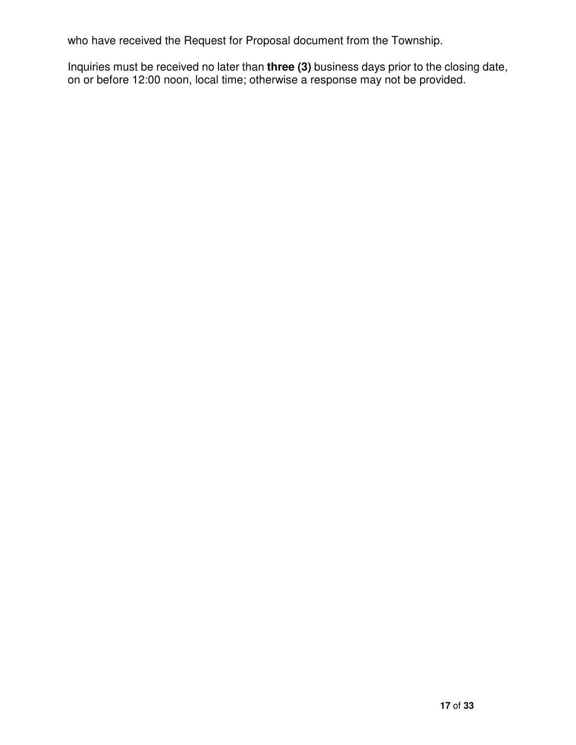who have received the Request for Proposal document from the Township.

Inquiries must be received no later than **three (3)** business days prior to the closing date, on or before 12:00 noon, local time; otherwise a response may not be provided.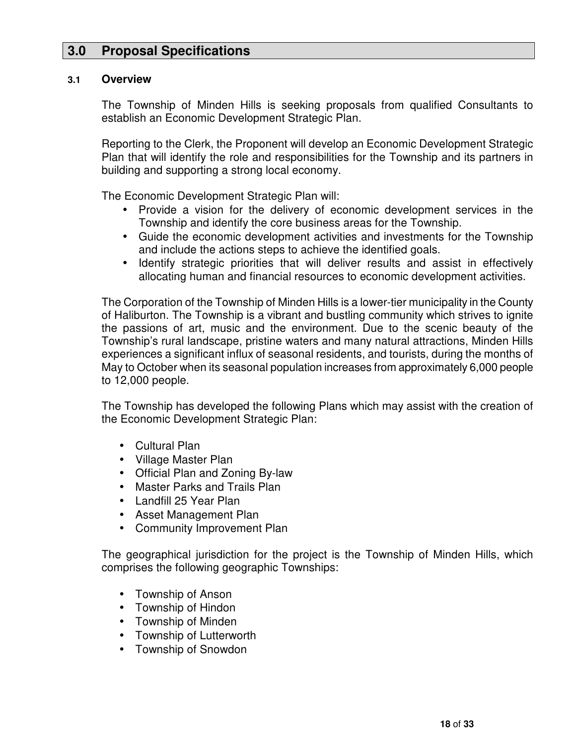# **3.0 Proposal Specifications**

#### **3.1 Overview**

The Township of Minden Hills is seeking proposals from qualified Consultants to establish an Economic Development Strategic Plan.

Reporting to the Clerk, the Proponent will develop an Economic Development Strategic Plan that will identify the role and responsibilities for the Township and its partners in building and supporting a strong local economy.

The Economic Development Strategic Plan will:

- Provide a vision for the delivery of economic development services in the Township and identify the core business areas for the Township.
- Guide the economic development activities and investments for the Township and include the actions steps to achieve the identified goals.
- Identify strategic priorities that will deliver results and assist in effectively allocating human and financial resources to economic development activities.

The Corporation of the Township of Minden Hills is a lower-tier municipality in the County of Haliburton. The Township is a vibrant and bustling community which strives to ignite the passions of art, music and the environment. Due to the scenic beauty of the Township's rural landscape, pristine waters and many natural attractions, Minden Hills experiences a significant influx of seasonal residents, and tourists, during the months of May to October when its seasonal population increases from approximately 6,000 people to 12,000 people.

The Township has developed the following Plans which may assist with the creation of the Economic Development Strategic Plan:

- Cultural Plan
- Village Master Plan
- Official Plan and Zoning By-law
- Master Parks and Trails Plan
- Landfill 25 Year Plan
- Asset Management Plan
- Community Improvement Plan

The geographical jurisdiction for the project is the Township of Minden Hills, which comprises the following geographic Townships:

- Township of Anson
- Township of Hindon
- Township of Minden
- Township of Lutterworth
- Township of Snowdon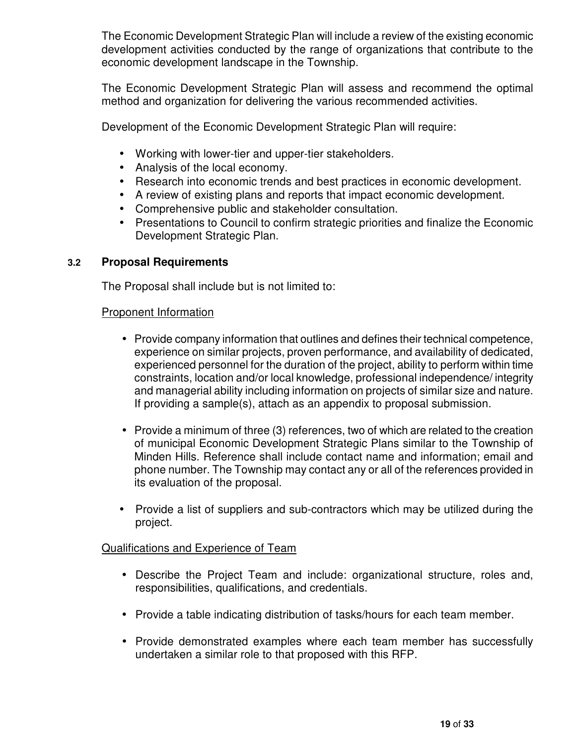The Economic Development Strategic Plan will include a review of the existing economic development activities conducted by the range of organizations that contribute to the economic development landscape in the Township.

The Economic Development Strategic Plan will assess and recommend the optimal method and organization for delivering the various recommended activities.

Development of the Economic Development Strategic Plan will require:

- Working with lower-tier and upper-tier stakeholders.
- Analysis of the local economy.
- Research into economic trends and best practices in economic development.
- A review of existing plans and reports that impact economic development.
- Comprehensive public and stakeholder consultation.
- Presentations to Council to confirm strategic priorities and finalize the Economic Development Strategic Plan.

## **3.2 Proposal Requirements**

The Proposal shall include but is not limited to:

## Proponent Information

- Provide company information that outlines and defines their technical competence, experience on similar projects, proven performance, and availability of dedicated, experienced personnel for the duration of the project, ability to perform within time constraints, location and/or local knowledge, professional independence/ integrity and managerial ability including information on projects of similar size and nature. If providing a sample(s), attach as an appendix to proposal submission.
- Provide a minimum of three (3) references, two of which are related to the creation of municipal Economic Development Strategic Plans similar to the Township of Minden Hills. Reference shall include contact name and information; email and phone number. The Township may contact any or all of the references provided in its evaluation of the proposal.
- Provide a list of suppliers and sub-contractors which may be utilized during the project.

## Qualifications and Experience of Team

- Describe the Project Team and include: organizational structure, roles and, responsibilities, qualifications, and credentials.
- Provide a table indicating distribution of tasks/hours for each team member.
- Provide demonstrated examples where each team member has successfully undertaken a similar role to that proposed with this RFP.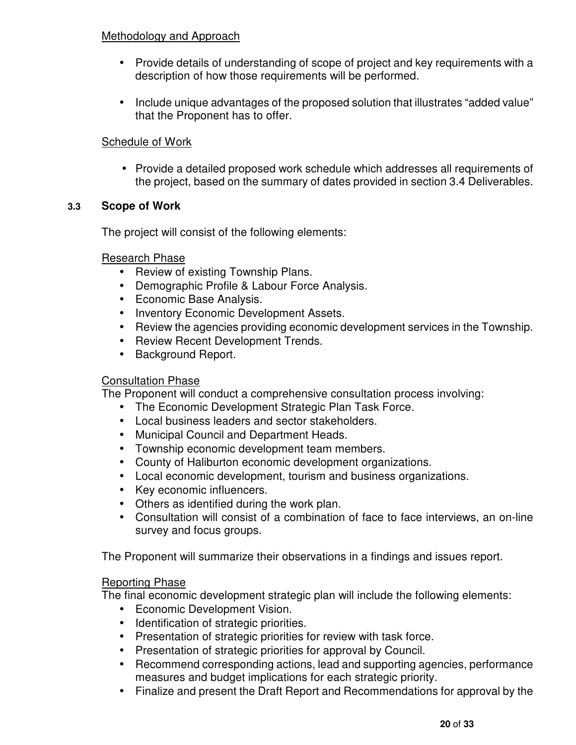#### Methodology and Approach

- Provide details of understanding of scope of project and key requirements with a description of how those requirements will be performed.
- Include unique advantages of the proposed solution that illustrates "added value" that the Proponent has to offer.

## Schedule of Work

• Provide a detailed proposed work schedule which addresses all requirements of the project, based on the summary of dates provided in section 3.4 Deliverables.

## **3.3 Scope of Work**

The project will consist of the following elements:

## Research Phase

- Review of existing Township Plans.
- Demographic Profile & Labour Force Analysis.
- Economic Base Analysis.
- Inventory Economic Development Assets.
- Review the agencies providing economic development services in the Township.
- Review Recent Development Trends.
- Background Report.

## Consultation Phase

The Proponent will conduct a comprehensive consultation process involving:

- The Economic Development Strategic Plan Task Force.
- Local business leaders and sector stakeholders.
- Municipal Council and Department Heads.
- Township economic development team members.
- County of Haliburton economic development organizations.
- Local economic development, tourism and business organizations.
- Key economic influencers.
- Others as identified during the work plan.
- Consultation will consist of a combination of face to face interviews, an on-line survey and focus groups.

The Proponent will summarize their observations in a findings and issues report.

#### **Reporting Phase**

The final economic development strategic plan will include the following elements:

- Economic Development Vision.
- Identification of strategic priorities.
- Presentation of strategic priorities for review with task force.
- Presentation of strategic priorities for approval by Council.
- Recommend corresponding actions, lead and supporting agencies, performance measures and budget implications for each strategic priority.
- Finalize and present the Draft Report and Recommendations for approval by the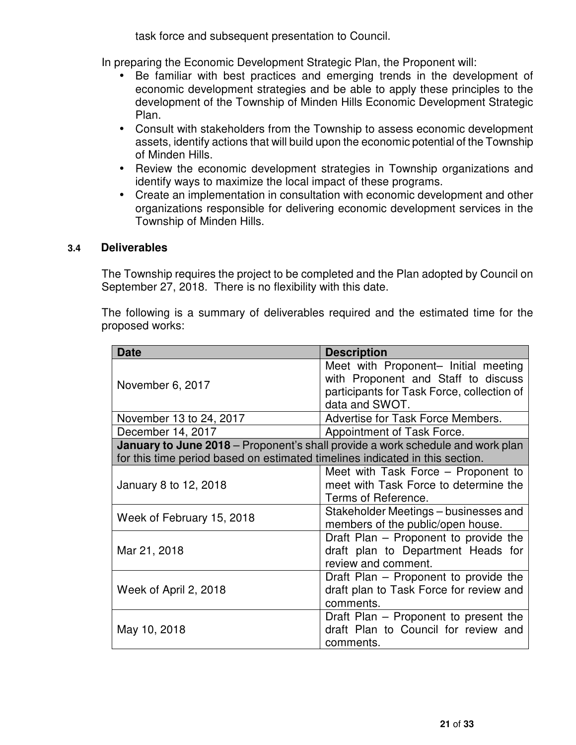task force and subsequent presentation to Council.

In preparing the Economic Development Strategic Plan, the Proponent will:

- Be familiar with best practices and emerging trends in the development of economic development strategies and be able to apply these principles to the development of the Township of Minden Hills Economic Development Strategic Plan.
- Consult with stakeholders from the Township to assess economic development assets, identify actions that will build upon the economic potential of the Township of Minden Hills.
- Review the economic development strategies in Township organizations and identify ways to maximize the local impact of these programs.
- Create an implementation in consultation with economic development and other organizations responsible for delivering economic development services in the Township of Minden Hills.

#### **3.4 Deliverables**

The Township requires the project to be completed and the Plan adopted by Council on September 27, 2018. There is no flexibility with this date.

The following is a summary of deliverables required and the estimated time for the proposed works:

| <b>Date</b>                                                                  | <b>Description</b>                                                                    |  |  |  |  |  |
|------------------------------------------------------------------------------|---------------------------------------------------------------------------------------|--|--|--|--|--|
|                                                                              | Meet with Proponent- Initial meeting                                                  |  |  |  |  |  |
| November 6, 2017                                                             | with Proponent and Staff to discuss                                                   |  |  |  |  |  |
|                                                                              | participants for Task Force, collection of                                            |  |  |  |  |  |
|                                                                              | data and SWOT.                                                                        |  |  |  |  |  |
| November 13 to 24, 2017                                                      | Advertise for Task Force Members.                                                     |  |  |  |  |  |
| December 14, 2017<br>Appointment of Task Force.                              |                                                                                       |  |  |  |  |  |
|                                                                              | <b>January to June 2018</b> – Proponent's shall provide a work schedule and work plan |  |  |  |  |  |
| for this time period based on estimated timelines indicated in this section. |                                                                                       |  |  |  |  |  |
|                                                                              | Meet with Task Force – Proponent to                                                   |  |  |  |  |  |
| January 8 to 12, 2018                                                        | meet with Task Force to determine the                                                 |  |  |  |  |  |
|                                                                              | Terms of Reference.                                                                   |  |  |  |  |  |
| Week of February 15, 2018                                                    | Stakeholder Meetings – businesses and                                                 |  |  |  |  |  |
|                                                                              | members of the public/open house.                                                     |  |  |  |  |  |
|                                                                              | Draft Plan – Proponent to provide the                                                 |  |  |  |  |  |
| Mar 21, 2018                                                                 | draft plan to Department Heads for                                                    |  |  |  |  |  |
|                                                                              | review and comment.                                                                   |  |  |  |  |  |
|                                                                              | Draft Plan - Proponent to provide the                                                 |  |  |  |  |  |
| Week of April 2, 2018                                                        | draft plan to Task Force for review and                                               |  |  |  |  |  |
|                                                                              | comments.                                                                             |  |  |  |  |  |
|                                                                              | Draft Plan – Proponent to present the                                                 |  |  |  |  |  |
| May 10, 2018                                                                 | draft Plan to Council for review and                                                  |  |  |  |  |  |
|                                                                              | comments.                                                                             |  |  |  |  |  |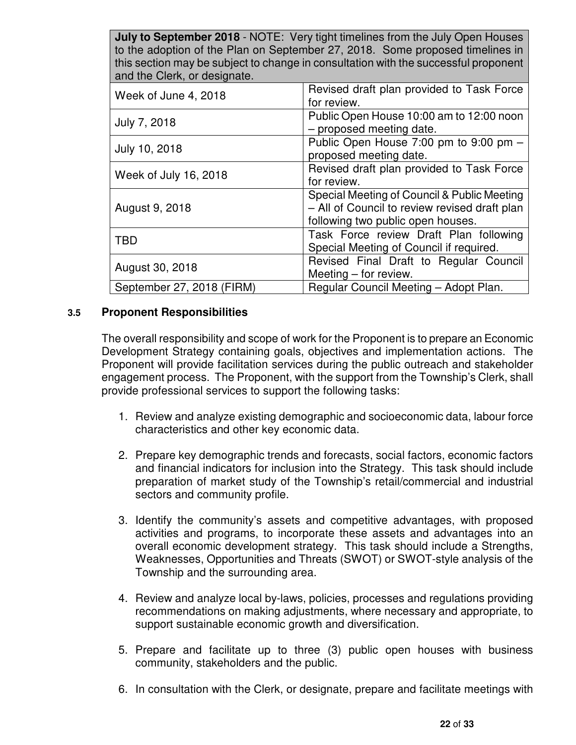| <b>July to September 2018</b> - NOTE: Very tight timelines from the July Open Houses<br>to the adoption of the Plan on September 27, 2018. Some proposed timelines in<br>this section may be subject to change in consultation with the successful proponent<br>and the Clerk, or designate. |                                                                                                                                   |  |  |  |  |  |
|----------------------------------------------------------------------------------------------------------------------------------------------------------------------------------------------------------------------------------------------------------------------------------------------|-----------------------------------------------------------------------------------------------------------------------------------|--|--|--|--|--|
| Week of June 4, 2018                                                                                                                                                                                                                                                                         | Revised draft plan provided to Task Force<br>for review.                                                                          |  |  |  |  |  |
| July 7, 2018                                                                                                                                                                                                                                                                                 | Public Open House 10:00 am to 12:00 noon<br>- proposed meeting date.                                                              |  |  |  |  |  |
| July 10, 2018                                                                                                                                                                                                                                                                                | Public Open House 7:00 pm to 9:00 pm -<br>proposed meeting date.                                                                  |  |  |  |  |  |
| Week of July 16, 2018                                                                                                                                                                                                                                                                        | Revised draft plan provided to Task Force<br>for review.                                                                          |  |  |  |  |  |
| August 9, 2018                                                                                                                                                                                                                                                                               | Special Meeting of Council & Public Meeting<br>- All of Council to review revised draft plan<br>following two public open houses. |  |  |  |  |  |
| <b>TBD</b>                                                                                                                                                                                                                                                                                   | Task Force review Draft Plan following<br>Special Meeting of Council if required.                                                 |  |  |  |  |  |
| August 30, 2018                                                                                                                                                                                                                                                                              | Revised Final Draft to Regular Council<br>Meeting - for review.                                                                   |  |  |  |  |  |
| September 27, 2018 (FIRM)                                                                                                                                                                                                                                                                    | Regular Council Meeting - Adopt Plan.                                                                                             |  |  |  |  |  |

#### **3.5 Proponent Responsibilities**

The overall responsibility and scope of work for the Proponent is to prepare an Economic Development Strategy containing goals, objectives and implementation actions. The Proponent will provide facilitation services during the public outreach and stakeholder engagement process. The Proponent, with the support from the Township's Clerk, shall provide professional services to support the following tasks:

- 1. Review and analyze existing demographic and socioeconomic data, labour force characteristics and other key economic data.
- 2. Prepare key demographic trends and forecasts, social factors, economic factors and financial indicators for inclusion into the Strategy. This task should include preparation of market study of the Township's retail/commercial and industrial sectors and community profile.
- 3. Identify the community's assets and competitive advantages, with proposed activities and programs, to incorporate these assets and advantages into an overall economic development strategy. This task should include a Strengths, Weaknesses, Opportunities and Threats (SWOT) or SWOT-style analysis of the Township and the surrounding area.
- 4. Review and analyze local by-laws, policies, processes and regulations providing recommendations on making adjustments, where necessary and appropriate, to support sustainable economic growth and diversification.
- 5. Prepare and facilitate up to three (3) public open houses with business community, stakeholders and the public.
- 6. In consultation with the Clerk, or designate, prepare and facilitate meetings with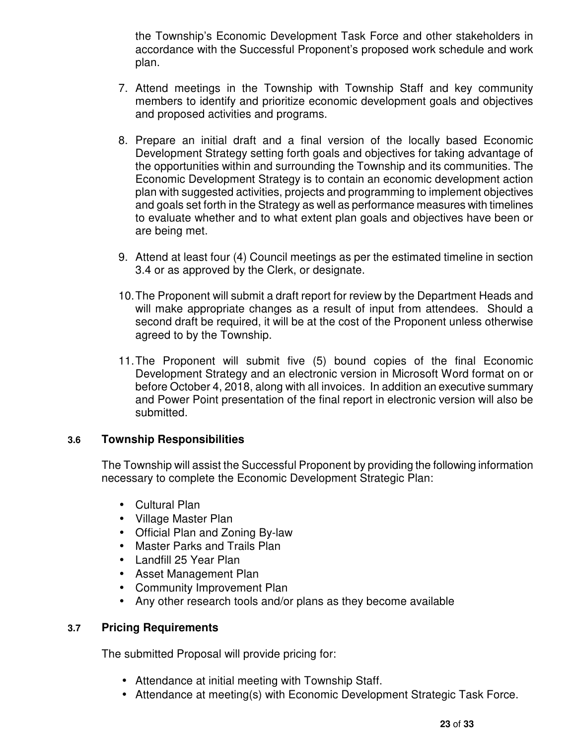the Township's Economic Development Task Force and other stakeholders in accordance with the Successful Proponent's proposed work schedule and work plan.

- 7. Attend meetings in the Township with Township Staff and key community members to identify and prioritize economic development goals and objectives and proposed activities and programs.
- 8. Prepare an initial draft and a final version of the locally based Economic Development Strategy setting forth goals and objectives for taking advantage of the opportunities within and surrounding the Township and its communities. The Economic Development Strategy is to contain an economic development action plan with suggested activities, projects and programming to implement objectives and goals set forth in the Strategy as well as performance measures with timelines to evaluate whether and to what extent plan goals and objectives have been or are being met.
- 9. Attend at least four (4) Council meetings as per the estimated timeline in section 3.4 or as approved by the Clerk, or designate.
- 10. The Proponent will submit a draft report for review by the Department Heads and will make appropriate changes as a result of input from attendees. Should a second draft be required, it will be at the cost of the Proponent unless otherwise agreed to by the Township.
- 11. The Proponent will submit five (5) bound copies of the final Economic Development Strategy and an electronic version in Microsoft Word format on or before October 4, 2018, along with all invoices. In addition an executive summary and Power Point presentation of the final report in electronic version will also be submitted.

## **3.6 Township Responsibilities**

The Township will assist the Successful Proponent by providing the following information necessary to complete the Economic Development Strategic Plan:

- Cultural Plan
- Village Master Plan
- Official Plan and Zoning By-law
- Master Parks and Trails Plan
- Landfill 25 Year Plan
- Asset Management Plan
- Community Improvement Plan
- Any other research tools and/or plans as they become available

#### **3.7 Pricing Requirements**

The submitted Proposal will provide pricing for:

- Attendance at initial meeting with Township Staff.
- Attendance at meeting(s) with Economic Development Strategic Task Force.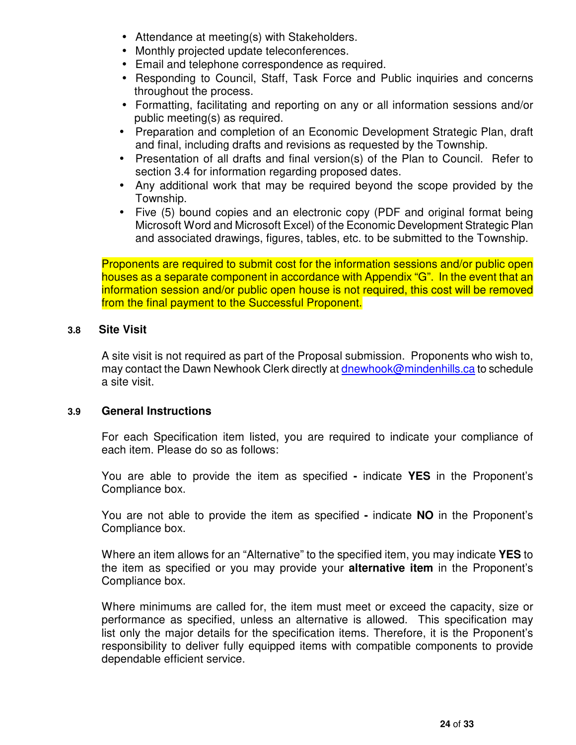- Attendance at meeting(s) with Stakeholders.
- Monthly projected update teleconferences.
- Email and telephone correspondence as required.
- Responding to Council, Staff, Task Force and Public inquiries and concerns throughout the process.
- Formatting, facilitating and reporting on any or all information sessions and/or public meeting(s) as required.
- Preparation and completion of an Economic Development Strategic Plan, draft and final, including drafts and revisions as requested by the Township.
- Presentation of all drafts and final version(s) of the Plan to Council. Refer to section 3.4 for information regarding proposed dates.
- Any additional work that may be required beyond the scope provided by the Township.
- Five (5) bound copies and an electronic copy (PDF and original format being Microsoft Word and Microsoft Excel) of the Economic Development Strategic Plan and associated drawings, figures, tables, etc. to be submitted to the Township.

Proponents are required to submit cost for the information sessions and/or public open houses as a separate component in accordance with Appendix "G". In the event that an information session and/or public open house is not required, this cost will be removed from the final payment to the Successful Proponent.

#### **3.8 Site Visit**

A site visit is not required as part of the Proposal submission. Proponents who wish to, may contact the Dawn Newhook Clerk directly at dnewhook@mindenhills.ca to schedule a site visit.

#### **3.9 General Instructions**

 For each Specification item listed, you are required to indicate your compliance of each item. Please do so as follows:

 You are able to provide the item as specified **-** indicate **YES** in the Proponent's Compliance box.

 You are not able to provide the item as specified **-** indicate **NO** in the Proponent's Compliance box.

Where an item allows for an "Alternative" to the specified item, you may indicate **YES** to the item as specified or you may provide your **alternative item** in the Proponent's Compliance box.

 Where minimums are called for, the item must meet or exceed the capacity, size or performance as specified, unless an alternative is allowed. This specification may list only the major details for the specification items. Therefore, it is the Proponent's responsibility to deliver fully equipped items with compatible components to provide dependable efficient service.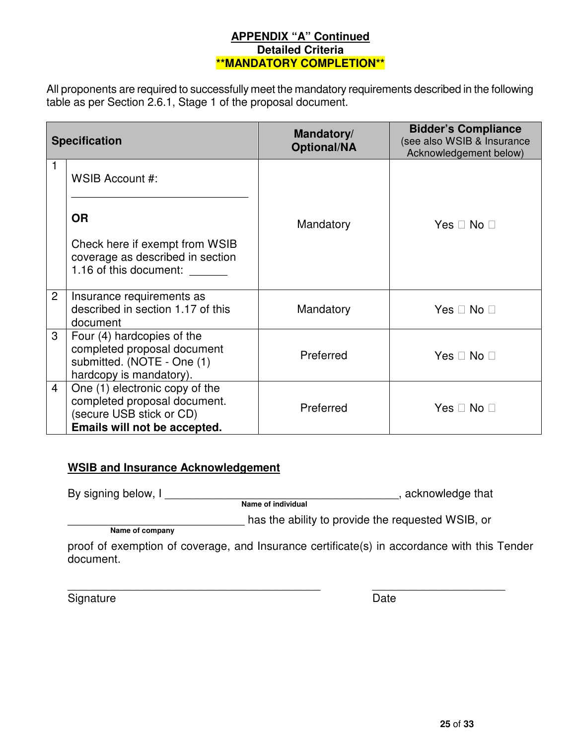#### **APPENDIX "A" Continued Detailed Criteria \*\*MANDATORY COMPLETION\*\***

All proponents are required to successfully meet the mandatory requirements described in the following table as per Section 2.6.1, Stage 1 of the proposal document.

|                | <b>Specification</b>                                                                                                       | Mandatory/<br><b>Optional/NA</b> | <b>Bidder's Compliance</b><br>(see also WSIB & Insurance<br>Acknowledgement below) |
|----------------|----------------------------------------------------------------------------------------------------------------------------|----------------------------------|------------------------------------------------------------------------------------|
| 1              | WSIB Account #:                                                                                                            |                                  |                                                                                    |
|                | <b>OR</b>                                                                                                                  | Mandatory                        | Yes<br><b>No</b>                                                                   |
|                | Check here if exempt from WSIB<br>coverage as described in section<br>1.16 of this document:                               |                                  |                                                                                    |
| $\overline{2}$ | Insurance requirements as<br>described in section 1.17 of this<br>document                                                 | Mandatory                        | <b>No</b><br>Yes                                                                   |
| 3              | Four (4) hardcopies of the<br>completed proposal document<br>submitted. (NOTE - One (1)<br>hardcopy is mandatory).         | Preferred                        | Yes.<br><b>No</b>                                                                  |
| $\overline{4}$ | One (1) electronic copy of the<br>completed proposal document.<br>(secure USB stick or CD)<br>Emails will not be accepted. | Preferred                        | Yes<br><b>No</b>                                                                   |

## **WSIB and Insurance Acknowledgement**

By signing below, I \_\_\_\_\_\_\_\_\_\_\_\_\_\_\_\_\_\_\_\_\_\_\_\_\_\_\_\_\_\_\_\_\_\_\_\_\_, acknowledge that **Name of individual** 

 **Name of company**

proof of exemption of coverage, and Insurance certificate(s) in accordance with this Tender document.

\_\_\_\_\_\_\_\_\_\_\_\_\_\_\_\_\_\_\_\_\_\_\_\_\_\_\_\_\_\_\_\_\_\_\_\_\_\_\_\_ \_\_\_\_\_\_\_\_\_\_\_\_\_\_\_\_\_\_\_\_\_

has the ability to provide the requested WSIB, or

Signature Date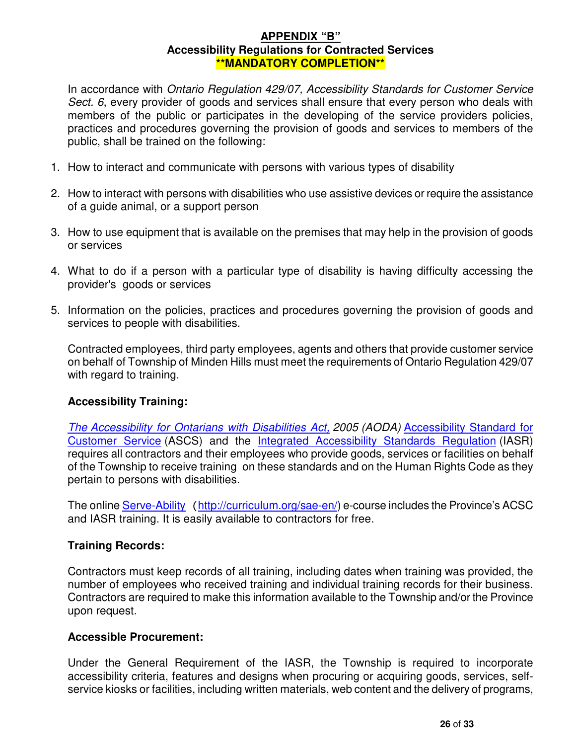#### **APPENDIX "B" Accessibility Regulations for Contracted Services \*\*MANDATORY COMPLETION\*\***

In accordance with Ontario Regulation 429/07, Accessibility Standards for Customer Service Sect. 6, every provider of goods and services shall ensure that every person who deals with members of the public or participates in the developing of the service providers policies, practices and procedures governing the provision of goods and services to members of the public, shall be trained on the following:

- 1. How to interact and communicate with persons with various types of disability
- 2. How to interact with persons with disabilities who use assistive devices or require the assistance of a guide animal, or a support person
- 3. How to use equipment that is available on the premises that may help in the provision of goods or services
- 4. What to do if a person with a particular type of disability is having difficulty accessing the provider's goods or services
- 5. Information on the policies, practices and procedures governing the provision of goods and services to people with disabilities.

Contracted employees, third party employees, agents and others that provide customer service on behalf of Township of Minden Hills must meet the requirements of Ontario Regulation 429/07 with regard to training.

## **Accessibility Training:**

The Accessibility for Ontarians with Disabilities Act, 2005 (AODA) Accessibility Standard for Customer Service (ASCS) and the Integrated Accessibility Standards Regulation (IASR) requires all contractors and their employees who provide goods, services or facilities on behalf of the Township to receive training on these standards and on the Human Rights Code as they pertain to persons with disabilities.

The online Serve-Ability (http://curriculum.org/sae-en/) e-course includes the Province's ACSC and IASR training. It is easily available to contractors for free.

## **Training Records:**

Contractors must keep records of all training, including dates when training was provided, the number of employees who received training and individual training records for their business. Contractors are required to make this information available to the Township and/or the Province upon request.

#### **Accessible Procurement:**

Under the General Requirement of the IASR, the Township is required to incorporate accessibility criteria, features and designs when procuring or acquiring goods, services, selfservice kiosks or facilities, including written materials, web content and the delivery of programs,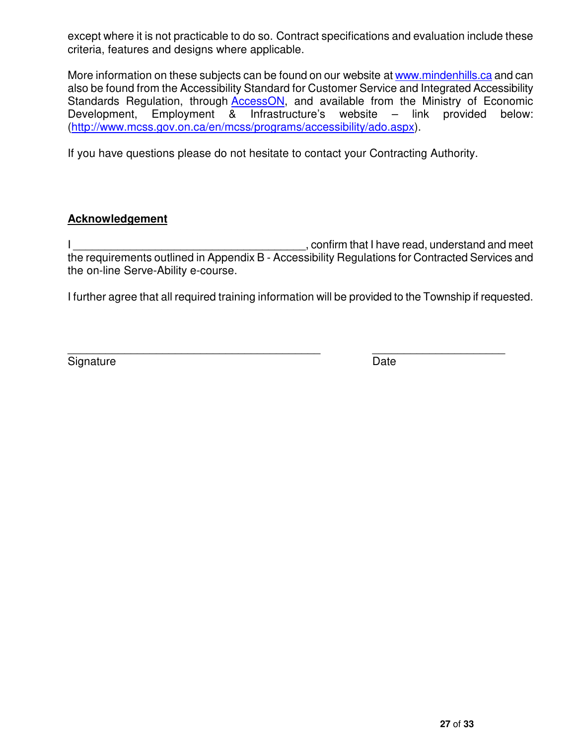except where it is not practicable to do so. Contract specifications and evaluation include these criteria, features and designs where applicable.

More information on these subjects can be found on our website at www.mindenhills.ca and can also be found from the Accessibility Standard for Customer Service and Integrated Accessibility Standards Regulation, through AccessON, and available from the Ministry of Economic Development, Employment & Infrastructure's website – link provided below: (http://www.mcss.gov.on.ca/en/mcss/programs/accessibility/ado.aspx).

If you have questions please do not hesitate to contact your Contracting Authority.

## **Acknowledgement**

I confirm that I have read, understand and meet the requirements outlined in Appendix B - Accessibility Regulations for Contracted Services and the on-line Serve-Ability e-course.

I further agree that all required training information will be provided to the Township if requested.

 $\overline{\phantom{a}}$  , and the contribution of the contribution of the contribution of the contribution of the contribution of the contribution of the contribution of the contribution of the contribution of the contribution of the Signature Date **Date**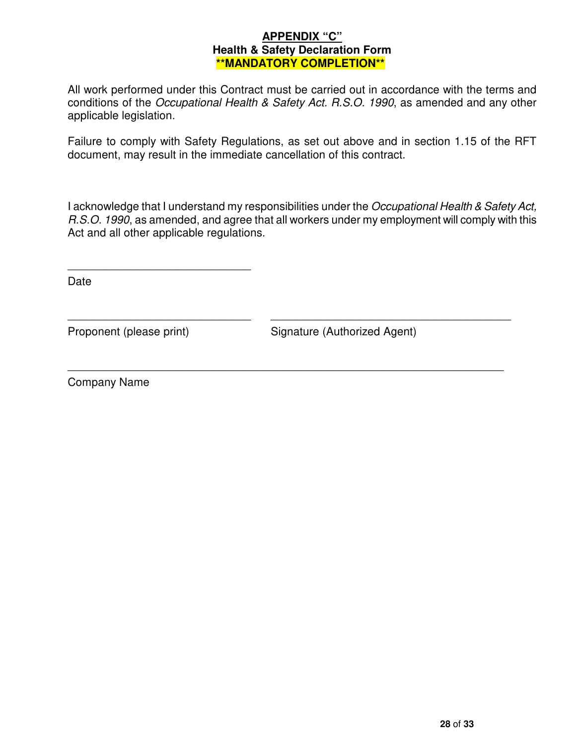#### **APPENDIX "C" Health & Safety Declaration Form \*\*MANDATORY COMPLETION\*\***

All work performed under this Contract must be carried out in accordance with the terms and conditions of the Occupational Health & Safety Act. R.S.O. 1990, as amended and any other applicable legislation.

Failure to comply with Safety Regulations, as set out above and in section 1.15 of the RFT document, may result in the immediate cancellation of this contract.

I acknowledge that I understand my responsibilities under the Occupational Health & Safety Act, R.S.O. 1990, as amended, and agree that all workers under my employment will comply with this Act and all other applicable regulations.

 $\overline{\phantom{a}}$  , and the contribution of the contribution of the contribution of the contribution of the contribution of the contribution of the contribution of the contribution of the contribution of the contribution of the

\_\_\_\_\_\_\_\_\_\_\_\_\_\_\_\_\_\_\_\_\_\_\_\_\_\_\_\_\_\_\_\_\_\_\_\_\_\_\_\_\_\_\_\_\_\_\_\_\_\_\_\_\_\_\_\_\_\_\_\_\_\_\_\_\_\_\_\_\_

Date

\_\_\_\_\_\_\_\_\_\_\_\_\_\_\_\_\_\_\_\_\_\_\_\_\_\_\_\_\_

Proponent (please print) Signature (Authorized Agent)

Company Name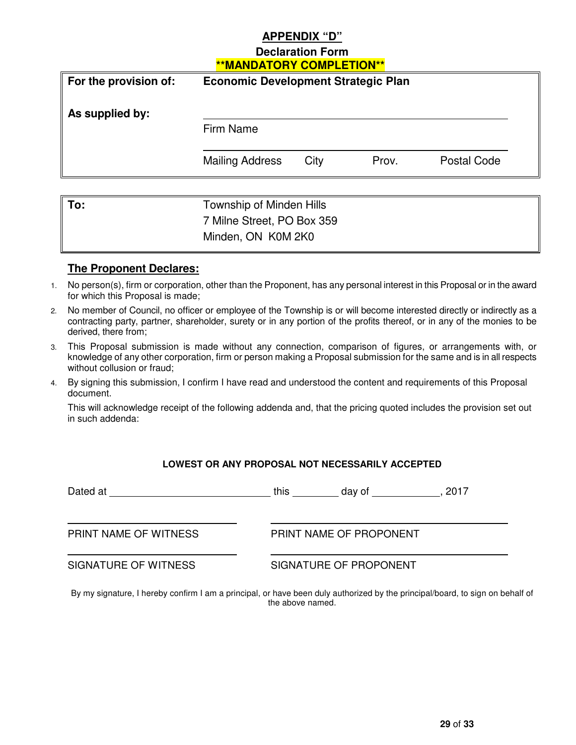#### **APPENDIX "D"**

## **Declaration Form \*\*MANDATORY COMPLETION\*\***

| For the provision of: | <b>Economic Development Strategic Plan</b> |      |       |             |  |
|-----------------------|--------------------------------------------|------|-------|-------------|--|
| As supplied by:       |                                            |      |       |             |  |
|                       | Firm Name                                  |      |       |             |  |
|                       | <b>Mailing Address</b>                     | City | Prov. | Postal Code |  |
|                       |                                            |      |       |             |  |
| To:                   | Township of Minden Hills                   |      |       |             |  |
|                       | 7 Milne Street, PO Box 359                 |      |       |             |  |

#### **The Proponent Declares:**

 $\overline{a}$ 

1. No person(s), firm or corporation, other than the Proponent, has any personal interest in this Proposal or in the award for which this Proposal is made;

Minden, ON K0M 2K0

- 2. No member of Council, no officer or employee of the Township is or will become interested directly or indirectly as a contracting party, partner, shareholder, surety or in any portion of the profits thereof, or in any of the monies to be derived, there from;
- 3. This Proposal submission is made without any connection, comparison of figures, or arrangements with, or knowledge of any other corporation, firm or person making a Proposal submission for the same and is in all respects without collusion or fraud;
- 4. By signing this submission, I confirm I have read and understood the content and requirements of this Proposal document.

This will acknowledge receipt of the following addenda and, that the pricing quoted includes the provision set out in such addenda:

**LOWEST OR ANY PROPOSAL NOT NECESSARILY ACCEPTED** 

| Dated at              | this | day of                  | . 2017 |
|-----------------------|------|-------------------------|--------|
| PRINT NAME OF WITNESS |      | PRINT NAME OF PROPONENT |        |
| SIGNATURE OF WITNESS  |      | SIGNATURE OF PROPONENT  |        |

By my signature, I hereby confirm I am a principal, or have been duly authorized by the principal/board, to sign on behalf of the above named.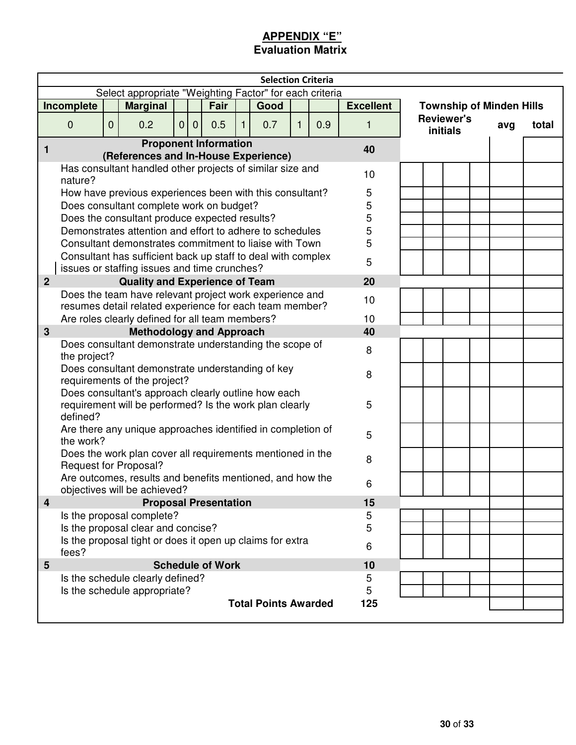## **APPENDIX "E" Evaluation Matrix**

|                                               |                                                                                                                    |             |                                                                                                                    |   |                |                              |    | <b>Selection Criteria</b>   |   |     |                  |                                      |     |       |
|-----------------------------------------------|--------------------------------------------------------------------------------------------------------------------|-------------|--------------------------------------------------------------------------------------------------------------------|---|----------------|------------------------------|----|-----------------------------|---|-----|------------------|--------------------------------------|-----|-------|
|                                               |                                                                                                                    |             | Select appropriate "Weighting Factor" for each criteria                                                            |   |                |                              |    |                             |   |     |                  |                                      |     |       |
|                                               | Incomplete                                                                                                         |             | <b>Marginal</b>                                                                                                    |   |                | Fair                         |    | Good                        |   |     | <b>Excellent</b> | <b>Township of Minden Hills</b>      |     |       |
|                                               | $\mathbf{0}$                                                                                                       | $\mathbf 0$ | 0.2                                                                                                                | 0 | $\overline{0}$ | 0.5                          | 1. | 0.7                         | 1 | 0.9 | 1                | <b>Reviewer's</b><br><b>initials</b> | avg | total |
| 1                                             |                                                                                                                    |             |                                                                                                                    |   |                | <b>Proponent Information</b> |    |                             |   |     | 40               |                                      |     |       |
|                                               |                                                                                                                    |             | (References and In-House Experience)                                                                               |   |                |                              |    |                             |   |     |                  |                                      |     |       |
|                                               | nature?                                                                                                            |             | Has consultant handled other projects of similar size and                                                          |   |                |                              |    |                             |   |     | 10 <sup>1</sup>  |                                      |     |       |
|                                               |                                                                                                                    |             | How have previous experiences been with this consultant?                                                           |   |                |                              |    |                             |   |     | 5                |                                      |     |       |
|                                               |                                                                                                                    |             | Does consultant complete work on budget?                                                                           |   |                |                              |    |                             |   |     | 5                |                                      |     |       |
| Does the consultant produce expected results? |                                                                                                                    |             |                                                                                                                    |   | 5              |                              |    |                             |   |     |                  |                                      |     |       |
|                                               | Demonstrates attention and effort to adhere to schedules<br>Consultant demonstrates commitment to liaise with Town |             |                                                                                                                    |   | 5              |                              |    |                             |   |     |                  |                                      |     |       |
|                                               |                                                                                                                    |             |                                                                                                                    |   |                |                              |    |                             |   |     | 5                |                                      |     |       |
|                                               | Consultant has sufficient back up staff to deal with complex<br>5<br>issues or staffing issues and time crunches?  |             |                                                                                                                    |   |                |                              |    |                             |   |     |                  |                                      |     |       |
| $\overline{2}$                                |                                                                                                                    |             | <b>Quality and Experience of Team</b>                                                                              |   |                |                              |    |                             |   |     | 20               |                                      |     |       |
|                                               |                                                                                                                    |             | Does the team have relevant project work experience and<br>resumes detail related experience for each team member? |   |                |                              |    |                             |   |     | 10               |                                      |     |       |
|                                               |                                                                                                                    |             | Are roles clearly defined for all team members?                                                                    |   |                |                              |    |                             |   |     | 10               |                                      |     |       |
| $\mathbf{3}$                                  |                                                                                                                    |             | <b>Methodology and Approach</b>                                                                                    |   |                |                              |    |                             |   |     | 40               |                                      |     |       |
|                                               | the project?                                                                                                       |             | Does consultant demonstrate understanding the scope of                                                             |   |                |                              |    |                             |   |     | 8                |                                      |     |       |
|                                               |                                                                                                                    |             | Does consultant demonstrate understanding of key<br>requirements of the project?                                   |   |                |                              |    |                             |   |     | 8                |                                      |     |       |
|                                               | defined?                                                                                                           |             | Does consultant's approach clearly outline how each<br>requirement will be performed? Is the work plan clearly     |   |                |                              |    |                             |   |     | 5                |                                      |     |       |
|                                               | the work?                                                                                                          |             | Are there any unique approaches identified in completion of                                                        |   |                |                              |    |                             |   |     | 5                |                                      |     |       |
|                                               |                                                                                                                    |             | Does the work plan cover all requirements mentioned in the<br>Request for Proposal?                                |   |                |                              |    |                             |   |     | 8                |                                      |     |       |
|                                               |                                                                                                                    |             | Are outcomes, results and benefits mentioned, and how the<br>objectives will be achieved?                          |   |                |                              |    |                             |   |     | 6                |                                      |     |       |
| $\overline{4}$                                |                                                                                                                    |             |                                                                                                                    |   |                | <b>Proposal Presentation</b> |    |                             |   |     | 15               |                                      |     |       |
|                                               |                                                                                                                    |             | Is the proposal complete?                                                                                          |   |                |                              |    |                             |   |     | 5                |                                      |     |       |
|                                               |                                                                                                                    |             | Is the proposal clear and concise?                                                                                 |   |                |                              |    |                             |   |     | 5                |                                      |     |       |
|                                               | fees?                                                                                                              |             | Is the proposal tight or does it open up claims for extra                                                          |   |                |                              |    |                             |   |     | 6                |                                      |     |       |
| 5                                             |                                                                                                                    |             |                                                                                                                    |   |                | <b>Schedule of Work</b>      |    |                             |   |     | 10               |                                      |     |       |
|                                               |                                                                                                                    |             | Is the schedule clearly defined?                                                                                   |   |                |                              |    |                             |   |     | 5                |                                      |     |       |
|                                               |                                                                                                                    |             | Is the schedule appropriate?                                                                                       |   |                |                              |    |                             |   |     | 5                |                                      |     |       |
|                                               |                                                                                                                    |             |                                                                                                                    |   |                |                              |    | <b>Total Points Awarded</b> |   |     | 125              |                                      |     |       |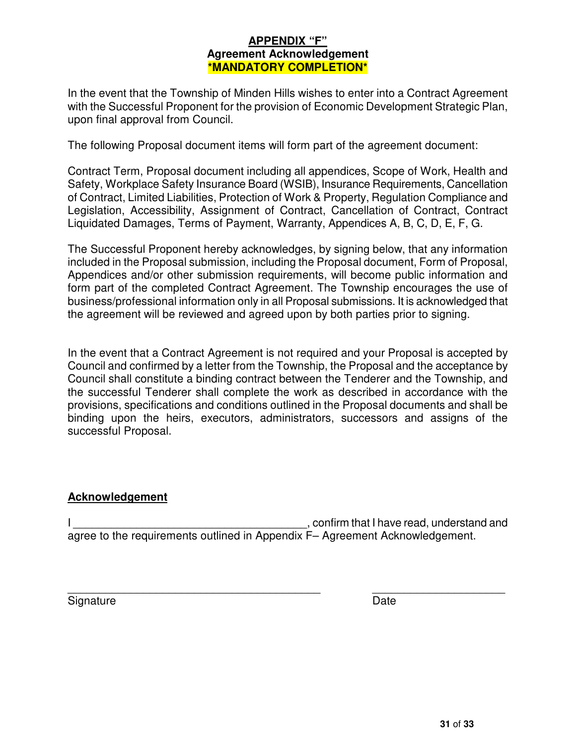#### **APPENDIX "F" Agreement Acknowledgement \*MANDATORY COMPLETION\***

In the event that the Township of Minden Hills wishes to enter into a Contract Agreement with the Successful Proponent for the provision of Economic Development Strategic Plan, upon final approval from Council.

The following Proposal document items will form part of the agreement document:

Contract Term, Proposal document including all appendices, Scope of Work, Health and Safety, Workplace Safety Insurance Board (WSIB), Insurance Requirements, Cancellation of Contract, Limited Liabilities, Protection of Work & Property, Regulation Compliance and Legislation, Accessibility, Assignment of Contract, Cancellation of Contract, Contract Liquidated Damages, Terms of Payment, Warranty, Appendices A, B, C, D, E, F, G.

The Successful Proponent hereby acknowledges, by signing below, that any information included in the Proposal submission, including the Proposal document, Form of Proposal, Appendices and/or other submission requirements, will become public information and form part of the completed Contract Agreement. The Township encourages the use of business/professional information only in all Proposal submissions. It is acknowledged that the agreement will be reviewed and agreed upon by both parties prior to signing.

In the event that a Contract Agreement is not required and your Proposal is accepted by Council and confirmed by a letter from the Township, the Proposal and the acceptance by Council shall constitute a binding contract between the Tenderer and the Township, and the successful Tenderer shall complete the work as described in accordance with the provisions, specifications and conditions outlined in the Proposal documents and shall be binding upon the heirs, executors, administrators, successors and assigns of the successful Proposal.

#### **Acknowledgement**

I confirm that I have read, understand and agree to the requirements outlined in Appendix F– Agreement Acknowledgement.

 $\overline{\phantom{a}}$  , and the contribution of the contribution of the contribution of the contribution of the contribution of the contribution of the contribution of the contribution of the contribution of the contribution of the Signature Date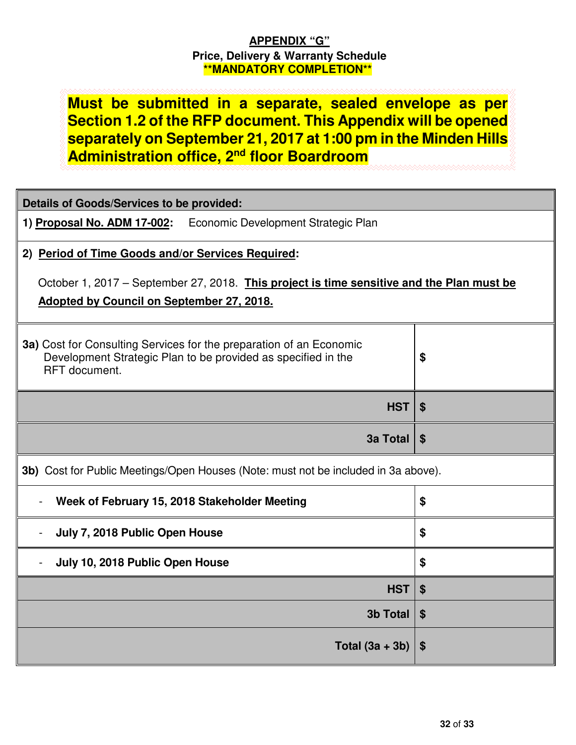## **APPENDIX "G" Price, Delivery & Warranty Schedule \*\*MANDATORY COMPLETION\*\***

**Must be submitted in a separate, sealed envelope as per Section 1.2 of the RFP document. This Appendix will be opened separately on September 21, 2017 at 1:00 pm in the Minden Hills Administration office, 2nd floor Boardroom**

| <b>Details of Goods/Services to be provided:</b>                                                                                                      |                           |  |  |  |  |  |  |
|-------------------------------------------------------------------------------------------------------------------------------------------------------|---------------------------|--|--|--|--|--|--|
| 1) Proposal No. ADM 17-002: Economic Development Strategic Plan                                                                                       |                           |  |  |  |  |  |  |
| 2) Period of Time Goods and/or Services Required:                                                                                                     |                           |  |  |  |  |  |  |
| October 1, 2017 – September 27, 2018. This project is time sensitive and the Plan must be<br>Adopted by Council on September 27, 2018.                |                           |  |  |  |  |  |  |
| 3a) Cost for Consulting Services for the preparation of an Economic<br>Development Strategic Plan to be provided as specified in the<br>RFT document. | \$                        |  |  |  |  |  |  |
| <b>HST</b>                                                                                                                                            | -\$                       |  |  |  |  |  |  |
| <b>3a Total</b>                                                                                                                                       | $\boldsymbol{\mathsf{s}}$ |  |  |  |  |  |  |
| 3b) Cost for Public Meetings/Open Houses (Note: must not be included in 3a above).                                                                    |                           |  |  |  |  |  |  |
| Week of February 15, 2018 Stakeholder Meeting                                                                                                         | \$                        |  |  |  |  |  |  |
|                                                                                                                                                       |                           |  |  |  |  |  |  |
| July 7, 2018 Public Open House                                                                                                                        | \$                        |  |  |  |  |  |  |
| July 10, 2018 Public Open House                                                                                                                       | \$                        |  |  |  |  |  |  |
| <b>HST</b>                                                                                                                                            | \$                        |  |  |  |  |  |  |
| <b>3b Total</b>                                                                                                                                       | \$                        |  |  |  |  |  |  |